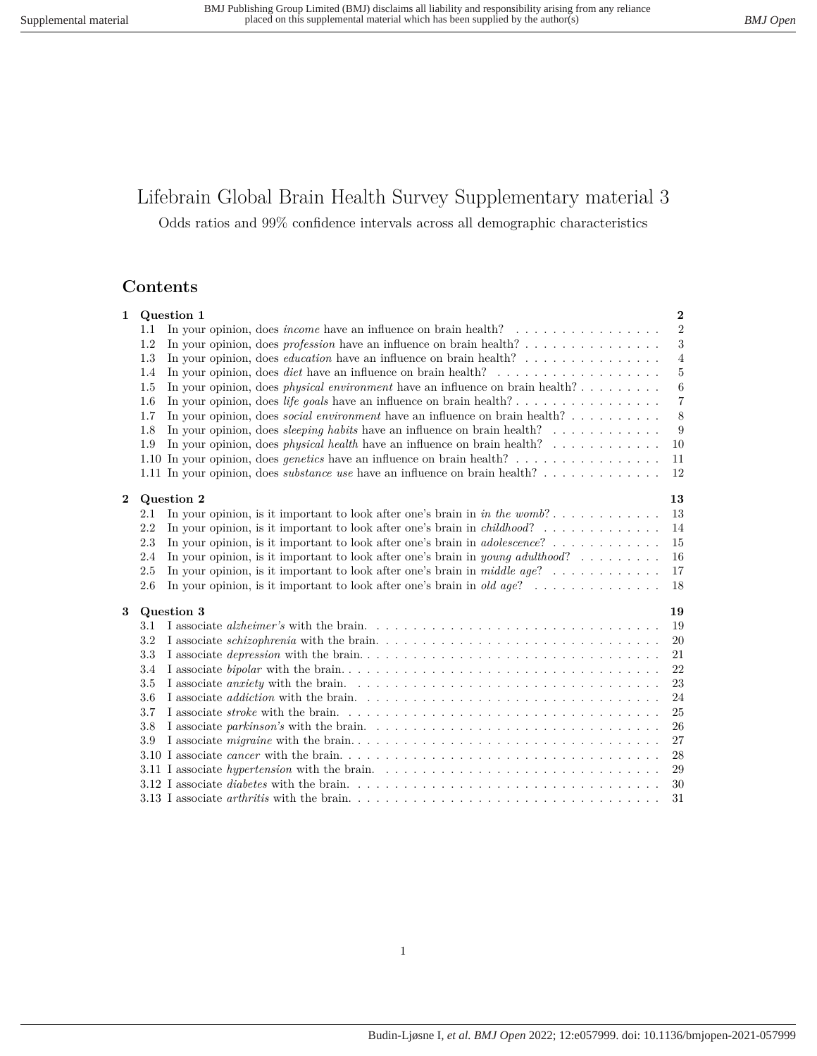# Lifebrain Global Brain Health Survey Supplementary material 3

Odds ratios and 99% confidence intervals across all demographic characteristics

# **Contents**

| 1 | Question 1                                                                                                         |  | $\mathbf{2}$     |
|---|--------------------------------------------------------------------------------------------------------------------|--|------------------|
|   | In your opinion, does <i>income</i> have an influence on brain health? $\ldots \ldots \ldots \ldots \ldots$<br>1.1 |  | 2                |
|   | 1.2                                                                                                                |  | $\boldsymbol{3}$ |
|   | In your opinion, does <i>education</i> have an influence on brain health?<br>1.3                                   |  | $\overline{4}$   |
|   | 1.4                                                                                                                |  | $\bf 5$          |
|   | In your opinion, does <i>physical environment</i> have an influence on brain health?<br>1.5                        |  | $\,6\,$          |
|   | 1.6                                                                                                                |  | $\,7$            |
|   | In your opinion, does <i>social environment</i> have an influence on brain health?<br>1.7                          |  | 8                |
|   | In your opinion, does <i>sleeping habits</i> have an influence on brain health?<br>1.8                             |  | 9                |
|   | In your opinion, does <i>physical health</i> have an influence on brain health?<br>1.9                             |  | 10               |
|   | 1.10 In your opinion, does <i>genetics</i> have an influence on brain health?                                      |  | 11               |
|   | 1.11 In your opinion, does <i>substance use</i> have an influence on brain health?                                 |  | 12               |
|   |                                                                                                                    |  |                  |
| 2 | Question 2                                                                                                         |  | 13               |
|   | In your opinion, is it important to look after one's brain in in the womb?<br>2.1                                  |  | 13               |
|   | 2.2                                                                                                                |  | 14               |
|   | In your opinion, is it important to look after one's brain in <i>adolescence</i> ?<br>2.3                          |  | 15               |
|   | In your opinion, is it important to look after one's brain in <i>young adulthood</i> ?<br>2.4                      |  | 16               |
|   | In your opinion, is it important to look after one's brain in middle age?<br>2.5                                   |  | 17               |
|   | In your opinion, is it important to look after one's brain in <i>old age</i> ?<br>2.6                              |  | 18               |
| 3 | Question 3                                                                                                         |  | 19               |
|   | 3.1                                                                                                                |  | 19               |
|   | 3.2                                                                                                                |  | 20               |
|   | 3.3                                                                                                                |  | 21               |
|   | 3.4                                                                                                                |  | 22               |
|   | 3.5                                                                                                                |  | 23               |
|   | 3.6                                                                                                                |  | 24               |
|   | 3.7                                                                                                                |  | 25               |
|   | 3.8                                                                                                                |  | 26               |
|   | 3.9                                                                                                                |  | 27               |
|   |                                                                                                                    |  | 28               |
|   | 3.11 I associate <i>hypertension</i> with the brain                                                                |  | 29               |
|   |                                                                                                                    |  | 30               |
|   |                                                                                                                    |  | 31               |
|   |                                                                                                                    |  |                  |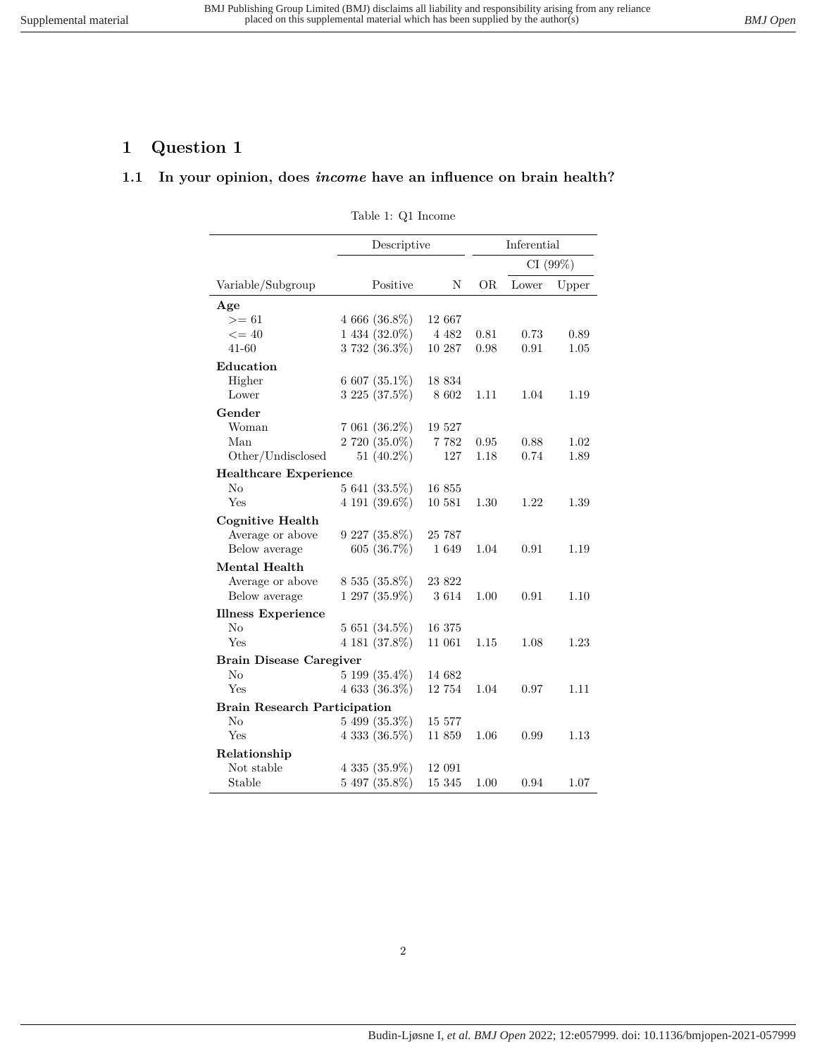# <span id="page-1-1"></span><span id="page-1-0"></span>**1 Question 1**

# **1.1 In your opinion, does** *income* **have an influence on brain health?**

Table 1: Q1 Income

|                                     | Descriptive        |         | Inferential |          |       |
|-------------------------------------|--------------------|---------|-------------|----------|-------|
|                                     |                    |         |             | CI (99%) |       |
| Variable/Subgroup                   | Positive           | Ν       | OR.         | Lower    | Upper |
| Age                                 |                    |         |             |          |       |
| $>= 61$                             | $4666(36.8\%)$     | 12 667  |             |          |       |
| $\leq$ = 40                         | 1 434 (32.0%)      | 4 4 8 2 | 0.81        | 0.73     | 0.89  |
| $41 - 60$                           | 3 732 (36.3%)      | 10 287  | 0.98        | 0.91     | 1.05  |
| Education                           |                    |         |             |          |       |
| Higher                              | 6 607 (35.1\%)     | 18 834  |             |          |       |
| Lower                               | $3225(37.5\%)$     | 8 602   | 1.11        | 1.04     | 1.19  |
| Gender                              |                    |         |             |          |       |
| Woman                               | $7061(36.2\%)$     | 19 527  |             |          |       |
| Man                                 | 2 720 (35.0%)      | 7 7 8 2 | 0.95        | 0.88     | 1.02  |
| Other/Undisclosed                   | 51 $(40.2\%)$      | 127     | 1.18        | 0.74     | 1.89  |
| <b>Healthcare Experience</b>        |                    |         |             |          |       |
| No                                  | $5641(33.5\%)$     | 16855   |             |          |       |
| Yes                                 | 4 191 $(39.6\%)$   | 10 581  | 1.30        | 1.22     | 1.39  |
| <b>Cognitive Health</b>             |                    |         |             |          |       |
| Average or above                    | $9227(35.8\%)$     | 25 787  |             |          |       |
| Below average                       | 605 $(36.7\%)$     | 1 649   | 1.04        | 0.91     | 1.19  |
| Mental Health                       |                    |         |             |          |       |
| Average or above                    | 8 535 (35.8%)      | 23 822  |             |          |       |
| Below average                       | $1297(35.9\%)$     | 3 6 1 4 | 1.00        | 0.91     | 1.10  |
| <b>Illness Experience</b>           |                    |         |             |          |       |
| No                                  | $5651(34.5\%)$     | 16 375  |             |          |       |
| Yes                                 | 4 181 (37.8%)      | 11 061  | 1.15        | 1.08     | 1.23  |
| <b>Brain Disease Caregiver</b>      |                    |         |             |          |       |
| No                                  | $5199(35.4\%)$     | 14 682  |             |          |       |
| Yes                                 | $4633(36.3\%)$     | 12 754  | 1.04        | 0.97     | 1.11  |
| <b>Brain Research Participation</b> |                    |         |             |          |       |
| No                                  | $5499(35.3\%)$     | 15 577  |             |          |       |
| Yes                                 | $4\,333\,(36.5\%)$ | 11 859  | 1.06        | 0.99     | 1.13  |
| Relationship                        |                    |         |             |          |       |
| Not stable                          | $4\,335\,(35.9\%)$ | 12 091  |             |          |       |
| Stable                              | $5497(35.8\%)$     | 15 345  | 1.00        | 0.94     | 1.07  |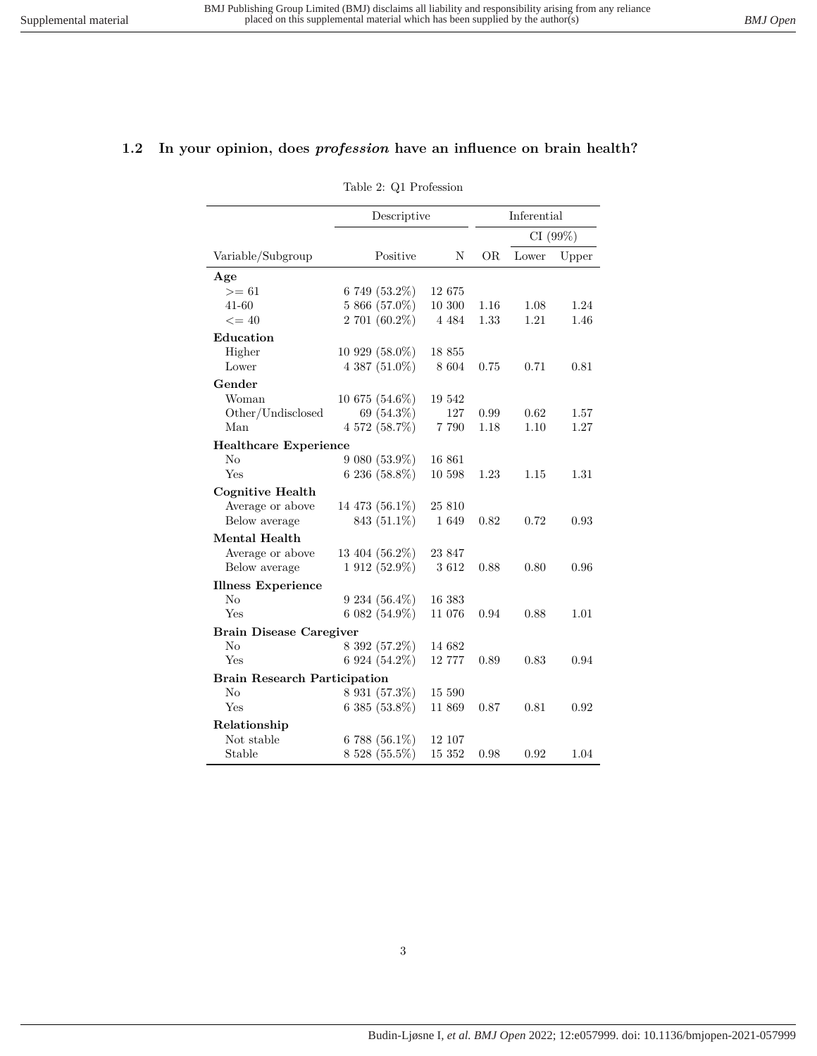### <span id="page-2-0"></span>**1.2 In your opinion, does** *profession* **have an influence on brain health?**

Table 2: Q1 Profession

|                                     | Descriptive        |         | Inferential |         |       |
|-------------------------------------|--------------------|---------|-------------|---------|-------|
|                                     |                    |         |             | CI(99%) |       |
| Variable/Subgroup                   | Positive           | N       | OR.         | Lower   | Upper |
| Age                                 |                    |         |             |         |       |
| $>= 61$                             | 6 749 (53.2%)      | 12 675  |             |         |       |
| $41 - 60$                           | 5 866 (57.0%)      | 10 300  | 1.16        | 1.08    | 1.24  |
| $\leq$ = 40                         | 2 701 (60.2%)      | 4 4 8 4 | 1.33        | 1.21    | 1.46  |
| Education                           |                    |         |             |         |       |
| Higher                              | $10929(58.0\%)$    | 18 855  |             |         |       |
| Lower                               | $4\,387\,(51.0\%)$ | 8 604   | 0.75        | 0.71    | 0.81  |
| Gender                              |                    |         |             |         |       |
| Woman                               | $10675(54.6\%)$    | 19 542  |             |         |       |
| Other/Undisclosed                   | 69 (54.3%)         | 127     | 0.99        | 0.62    | 1.57  |
| Man                                 | 4 572 (58.7%)      | 7 790   | 1.18        | 1.10    | 1.27  |
| <b>Healthcare Experience</b>        |                    |         |             |         |       |
| No                                  | 9 080 (53.9%)      | 16 861  |             |         |       |
| Yes                                 | $6236(58.8\%)$     | 10 598  | 1.23        | 1.15    | 1.31  |
| <b>Cognitive Health</b>             |                    |         |             |         |       |
| Average or above                    | 14 473 (56.1%)     | 25 810  |             |         |       |
| Below average                       | 843 (51.1%)        | 1649    | 0.82        | 0.72    | 0.93  |
| <b>Mental Health</b>                |                    |         |             |         |       |
| Average or above                    | 13 404 (56.2%)     | 23 847  |             |         |       |
| Below average                       | 1 912 (52.9%)      | 3612    | 0.88        | 0.80    | 0.96  |
| <b>Illness Experience</b>           |                    |         |             |         |       |
| No                                  | $9234(56.4\%)$     | 16 383  |             |         |       |
| Yes                                 | $6082(54.9\%)$     | 11 076  | 0.94        | 0.88    | 1.01  |
| <b>Brain Disease Caregiver</b>      |                    |         |             |         |       |
| No                                  | 8 392 (57.2%)      | 14 682  |             |         |       |
| Yes                                 | 6 924 $(54.2\%)$   | 12 777  | 0.89        | 0.83    | 0.94  |
| <b>Brain Research Participation</b> |                    |         |             |         |       |
| $\rm No$                            | 8 931 (57.3%)      | 15 590  |             |         |       |
| Yes                                 | $6385(53.8\%)$     | 11 869  | 0.87        | 0.81    | 0.92  |
| Relationship                        |                    |         |             |         |       |
| Not stable                          | 6 788 $(56.1\%)$   | 12 107  |             |         |       |
| Stable                              | 8 528 (55.5%)      | 15 352  | 0.98        | 0.92    | 1.04  |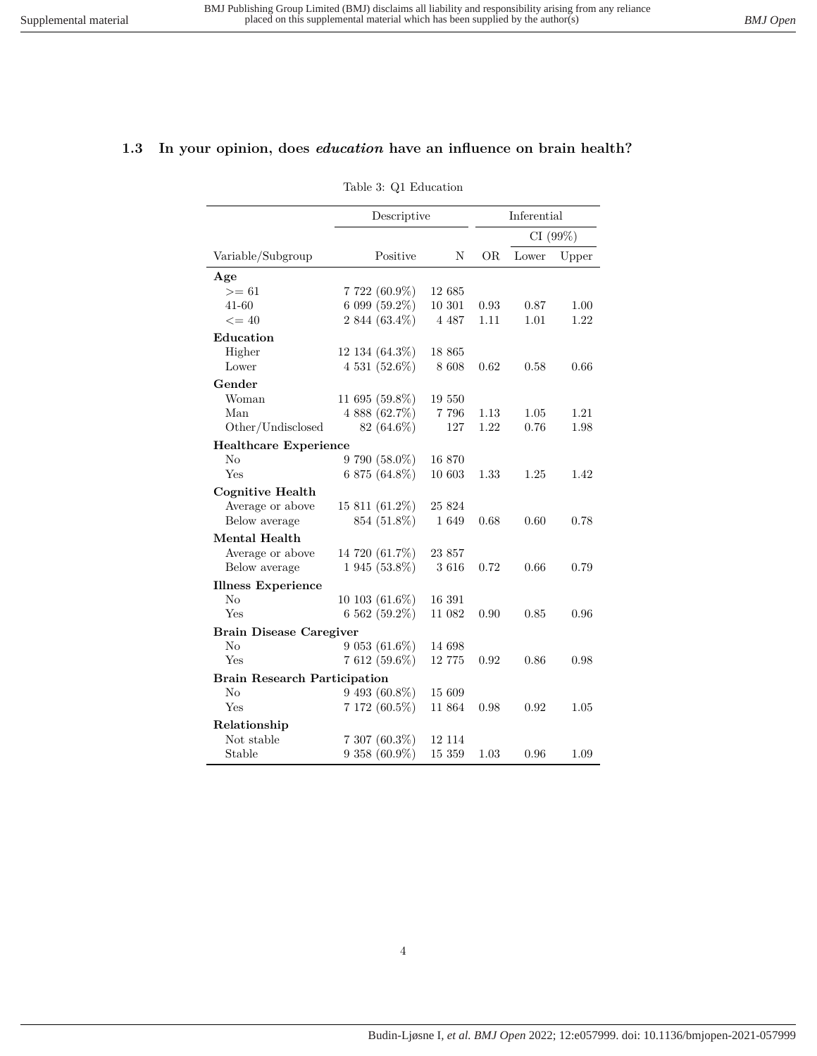#### <span id="page-3-0"></span>**1.3 In your opinion, does** *education* **have an influence on brain health?**

Table 3: Q1 Education

|                                     | Descriptive          |           | Inferential |       |         |
|-------------------------------------|----------------------|-----------|-------------|-------|---------|
|                                     |                      |           |             |       | CI(99%) |
| Variable/Subgroup                   | Positive             | N         | OR.         | Lower | Upper   |
| Age                                 |                      |           |             |       |         |
| $>= 61$                             | $7722(60.9\%)$       | 12 685    |             |       |         |
| 41-60                               | 6 099 (59.2%)        | 10 301    | 0.93        | 0.87  | 1.00    |
| $\leq$ = 40                         | 2 844 (63.4%)        | 4 4 8 7   | 1.11        | 1.01  | 1.22    |
| Education                           |                      |           |             |       |         |
| Higher                              | $12\;134\; (64.3\%)$ | 18 865    |             |       |         |
| Lower                               | $4531(52.6\%)$       | 8 608     | 0.62        | 0.58  | 0.66    |
| Gender                              |                      |           |             |       |         |
| Woman                               | 11 695 (59.8%)       | 19 550    |             |       |         |
| Man                                 | $4888(62.7\%)$       | 7 7 9 6   | 1.13        | 1.05  | 1.21    |
| Other/Undisclosed                   | $82(64.6\%)$         | 127       | 1.22        | 0.76  | 1.98    |
| <b>Healthcare Experience</b>        |                      |           |             |       |         |
| $\rm No$                            | $9790(58.0\%)$       | 16 870    |             |       |         |
| Yes                                 | $6875(64.8\%)$       | 10 603    | 1.33        | 1.25  | 1.42    |
| <b>Cognitive Health</b>             |                      |           |             |       |         |
| Average or above                    | 15 811 (61.2%)       | 25 824    |             |       |         |
| Below average                       | 854 (51.8%)          | 1649      | 0.68        | 0.60  | 0.78    |
| Mental Health                       |                      |           |             |       |         |
| Average or above                    | 14 720 (61.7%)       | 23 857    |             |       |         |
| Below average                       | 1 945 (53.8%)        | 3616      | 0.72        | 0.66  | 0.79    |
| <b>Illness Experience</b>           |                      |           |             |       |         |
| N <sub>o</sub>                      | $10\;103\;(61.6\%)$  | 16 391    |             |       |         |
| Yes                                 | 6 562 (59.2%)        | 11 082    | 0.90        | 0.85  | 0.96    |
| <b>Brain Disease Caregiver</b>      |                      |           |             |       |         |
| No                                  | $9053(61.6\%)$       | 14 698    |             |       |         |
| Yes                                 | 7 612 (59.6%)        | $12\ 775$ | 0.92        | 0.86  | 0.98    |
| <b>Brain Research Participation</b> |                      |           |             |       |         |
| No                                  | $9\;493\; (60.8\%)$  | 15 609    |             |       |         |
| Yes                                 | 7 172 (60.5%)        | 11 864    | 0.98        | 0.92  | 1.05    |
| Relationship                        |                      |           |             |       |         |
| Not stable                          | $7\;307\; (60.3\%)$  | 12 114    |             |       |         |
| Stable                              | 9 358 (60.9%)        | 15 359    | 1.03        | 0.96  | 1.09    |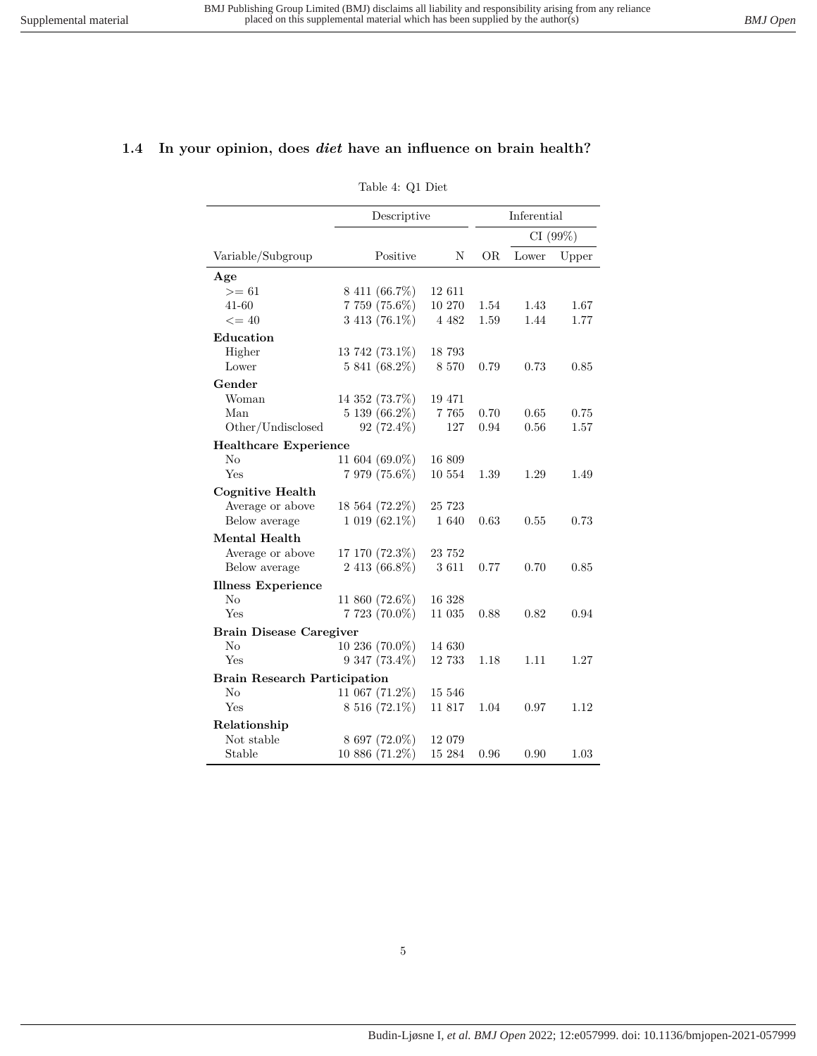#### <span id="page-4-0"></span>**1.4 In your opinion, does** *diet* **have an influence on brain health?**

#### Table 4: Q1 Diet

|                                     | Descriptive         |         | Inferential |         |       |
|-------------------------------------|---------------------|---------|-------------|---------|-------|
|                                     |                     |         |             | CI(99%) |       |
| Variable/Subgroup                   | Positive            | N       | OR.         | Lower   | Upper |
| Age                                 |                     |         |             |         |       |
| $>= 61$                             | 8 411 (66.7%)       | 12 611  |             |         |       |
| $41 - 60$                           | 7 759 (75.6%)       | 10 270  | 1.54        | 1.43    | 1.67  |
| $\leq$ = 40                         | 3 413 (76.1%)       | 4 4 8 2 | 1.59        | 1.44    | 1.77  |
| Education                           |                     |         |             |         |       |
| Higher                              | 13 742 (73.1%)      | 18 793  |             |         |       |
| Lower                               | 5 841 (68.2%)       | 8 5 7 0 | 0.79        | 0.73    | 0.85  |
| Gender                              |                     |         |             |         |       |
| Woman                               | 14 352 (73.7%)      | 19 471  |             |         |       |
| Man                                 | 5 139 (66.2%)       | 7 7 6 5 | 0.70        | 0.65    | 0.75  |
| Other/Undisclosed                   | 92 $(72.4\%)$       | 127     | 0.94        | 0.56    | 1.57  |
| <b>Healthcare Experience</b>        |                     |         |             |         |       |
| No                                  | 11 604 (69.0%)      | 16 809  |             |         |       |
| Yes                                 | 7 979 (75.6%)       | 10 554  | 1.39        | 1.29    | 1.49  |
| <b>Cognitive Health</b>             |                     |         |             |         |       |
| Average or above                    | 18 564 (72.2%)      | 25 723  |             |         |       |
| Below average                       | $1019(62.1\%)$      | 1 640   | 0.63        | 0.55    | 0.73  |
| <b>Mental Health</b>                |                     |         |             |         |       |
| Average or above                    | 17 170 (72.3%)      | 23 752  |             |         |       |
| Below average                       | $2413(66.8\%)$      | 3611    | 0.77        | 0.70    | 0.85  |
| <b>Illness Experience</b>           |                     |         |             |         |       |
| N <sub>o</sub>                      | 11 860 (72.6%)      | 16 328  |             |         |       |
| Yes                                 | 7 723 (70.0%)       | 11 035  | 0.88        | 0.82    | 0.94  |
| <b>Brain Disease Caregiver</b>      |                     |         |             |         |       |
| No                                  | $10\,236\,(70.0\%)$ | 14 630  |             |         |       |
| Yes                                 | $9\;347\; (73.4\%)$ | 12 733  | 1.18        | 1.11    | 1.27  |
| <b>Brain Research Participation</b> |                     |         |             |         |       |
| $\rm No$                            | 11 067 (71.2%)      | 15 546  |             |         |       |
| Yes                                 | 8 516 (72.1%)       | 11 817  | 1.04        | 0.97    | 1.12  |
| Relationship                        |                     |         |             |         |       |
| Not stable                          | 8 697 (72.0%)       | 12 079  |             |         |       |
| Stable                              | $10\,886\,(71.2\%)$ | 15 284  | 0.96        | 0.90    | 1.03  |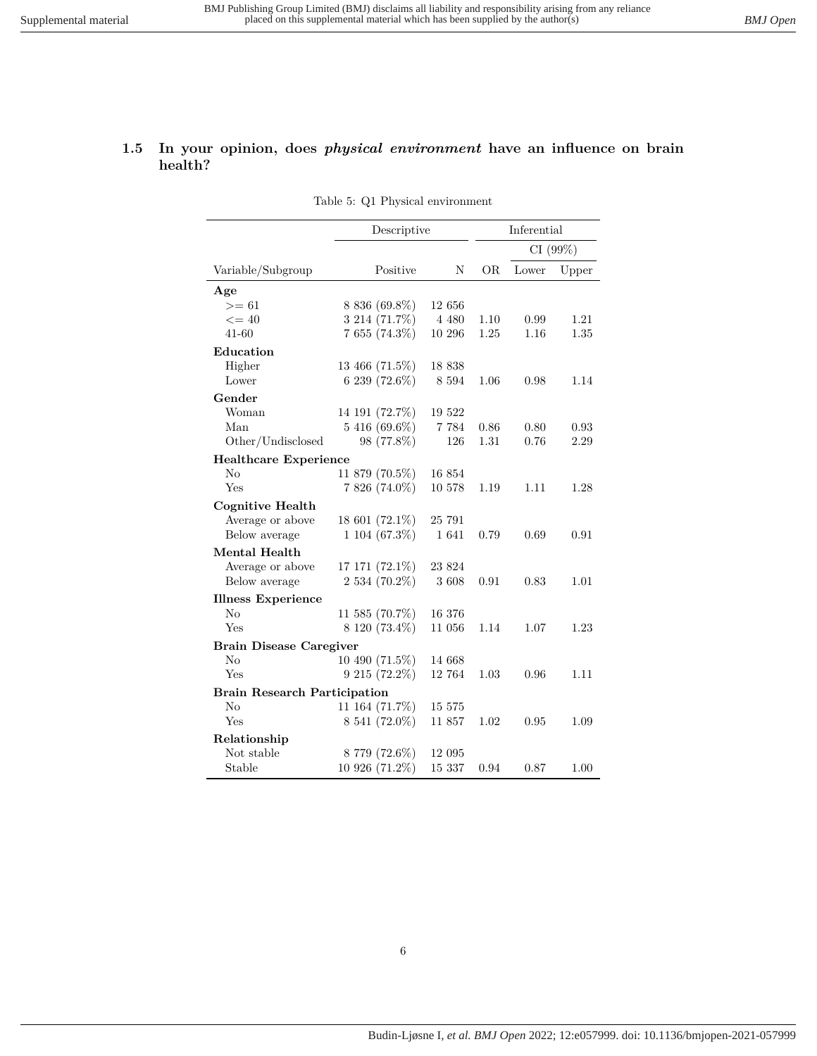#### <span id="page-5-0"></span>**1.5 In your opinion, does** *physical environment* **have an influence on brain health?**

Table 5: Q1 Physical environment

|                                     | Descriptive       |         |      | Inferential |          |
|-------------------------------------|-------------------|---------|------|-------------|----------|
|                                     |                   |         |      |             | CI (99%) |
| Variable/Subgroup                   | Positive          | N       | OR.  | Lower       | Upper    |
| Age                                 |                   |         |      |             |          |
| $>= 61$                             | 8 836 (69.8%)     | 12 656  |      |             |          |
| $\leq$ = 40                         | 3 214 (71.7%)     | 4 4 8 0 | 1.10 | 0.99        | 1.21     |
| $41 - 60$                           | 7 655 (74.3%)     | 10 296  | 1.25 | 1.16        | 1.35     |
| Education                           |                   |         |      |             |          |
| Higher                              | 13 466 (71.5%)    | 18 838  |      |             |          |
| Lower                               | 6 239 (72.6%)     | 8 5 9 4 | 1.06 | 0.98        | 1.14     |
| Gender                              |                   |         |      |             |          |
| Woman                               | 14 191 (72.7%)    | 19 522  |      |             |          |
| Man                                 | 5 416 (69.6%)     | 7 7 8 4 | 0.86 | 0.80        | 0.93     |
| Other/Undisclosed                   | 98 (77.8%)        | 126     | 1.31 | 0.76        | 2.29     |
| <b>Healthcare Experience</b>        |                   |         |      |             |          |
| No                                  | 11 879 (70.5%)    | 16854   |      |             |          |
| Yes                                 | 7 826 (74.0%)     | 10 578  | 1.19 | 1.11        | 1.28     |
| Cognitive Health                    |                   |         |      |             |          |
| Average or above                    | 18 601 (72.1%)    | 25 791  |      |             |          |
| Below average                       | $1104(67.3\%)$    | 1 641   | 0.79 | 0.69        | 0.91     |
| Mental Health                       |                   |         |      |             |          |
| Average or above                    | 17 171 (72.1%)    | 23 824  |      |             |          |
| Below average                       | 2 534 (70.2%)     | 3608    | 0.91 | 0.83        | 1.01     |
| <b>Illness Experience</b>           |                   |         |      |             |          |
| No                                  | 11 585 $(70.7\%)$ | 16 376  |      |             |          |
| Yes                                 | 8 120 (73.4%)     | 11 056  | 1.14 | 1.07        | 1.23     |
| <b>Brain Disease Caregiver</b>      |                   |         |      |             |          |
| $\rm No$                            | 10 490 (71.5%)    | 14 668  |      |             |          |
| Yes                                 | $9215(72.2\%)$    | 12 764  | 1.03 | 0.96        | 1.11     |
| <b>Brain Research Participation</b> |                   |         |      |             |          |
| $\rm No$                            | 11 164 (71.7%)    | 15 575  |      |             |          |
| Yes                                 | 8 541 (72.0%)     | 11 857  | 1.02 | 0.95        | 1.09     |
| Relationship                        |                   |         |      |             |          |
| Not stable                          | 8 779 (72.6%)     | 12 095  |      |             |          |
| Stable                              | 10 926 (71.2%)    | 15 337  | 0.94 | 0.87        | 1.00     |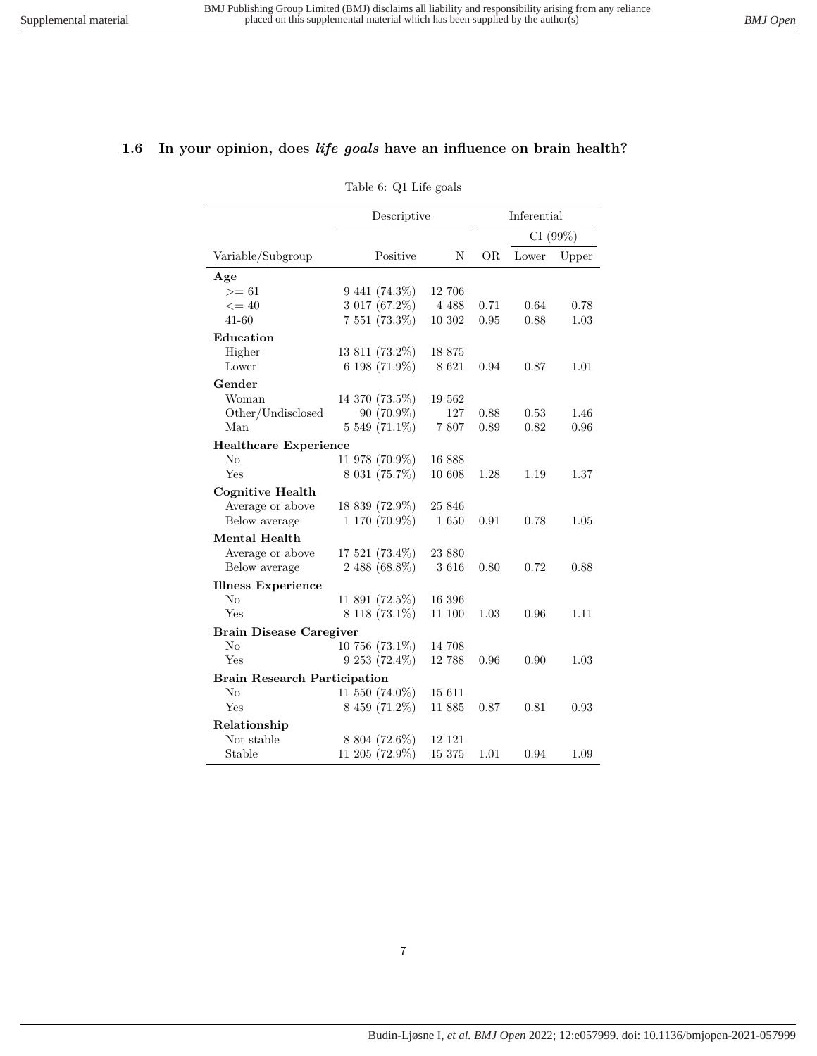#### <span id="page-6-0"></span>**1.6 In your opinion, does** *life goals* **have an influence on brain health?**

Table 6: Q1 Life goals

|                                     | Descriptive         |         | Inferential |         |       |
|-------------------------------------|---------------------|---------|-------------|---------|-------|
|                                     |                     |         |             | CI(99%) |       |
| Variable/Subgroup                   | Positive            | N       | OR.         | Lower   | Upper |
| Age                                 |                     |         |             |         |       |
| $>= 61$                             | $9\;441\; (74.3\%)$ | 12 706  |             |         |       |
| $\leq$ = 40                         | 3 017 (67.2%)       | 4 4 8 8 | 0.71        | 0.64    | 0.78  |
| $41 - 60$                           | 7 551 (73.3%)       | 10 302  | 0.95        | 0.88    | 1.03  |
| Education                           |                     |         |             |         |       |
| Higher                              | 13 811 (73.2%)      | 18 875  |             |         |       |
| Lower                               | 6 198 $(71.9\%)$    | 8 6 21  | 0.94        | 0.87    | 1.01  |
| Gender                              |                     |         |             |         |       |
| Woman                               | 14 370 (73.5%)      | 19 562  |             |         |       |
| Other/Undisclosed                   | $90(70.9\%)$        | 127     | 0.88        | 0.53    | 1.46  |
| Man                                 | 5 549 (71.1%)       | 7807    | 0.89        | 0.82    | 0.96  |
| <b>Healthcare Experience</b>        |                     |         |             |         |       |
| No                                  | 11 978 (70.9%)      | 16 888  |             |         |       |
| Yes                                 | 8 031 (75.7%)       | 10 608  | 1.28        | 1.19    | 1.37  |
| <b>Cognitive Health</b>             |                     |         |             |         |       |
| Average or above                    | 18 839 (72.9%)      | 25 846  |             |         |       |
| Below average                       | 1 170 (70.9%)       | 1650    | 0.91        | 0.78    | 1.05  |
| <b>Mental Health</b>                |                     |         |             |         |       |
| Average or above                    | 17 521 (73.4%)      | 23 880  |             |         |       |
| Below average                       | 2 488 (68.8%)       | 3616    | 0.80        | 0.72    | 0.88  |
| <b>Illness Experience</b>           |                     |         |             |         |       |
| No                                  | $11891(72.5\%)$     | 16 396  |             |         |       |
| Yes                                 | $8118(73.1\%)$      | 11 100  | 1.03        | 0.96    | 1.11  |
| <b>Brain Disease Caregiver</b>      |                     |         |             |         |       |
| No                                  | $10756(73.1\%)$     | 14 708  |             |         |       |
| Yes                                 | $9253(72.4\%)$      | 12 788  | 0.96        | 0.90    | 1.03  |
| <b>Brain Research Participation</b> |                     |         |             |         |       |
| $\rm No$                            | 11 550 (74.0%)      | 15 611  |             |         |       |
| Yes                                 | 8 459 (71.2%)       | 11 885  | 0.87        | 0.81    | 0.93  |
| Relationship                        |                     |         |             |         |       |
| Not stable                          | 8 804 (72.6%)       | 12 121  |             |         |       |
| Stable                              | 11 205 (72.9%)      | 15 375  | 1.01        | 0.94    | 1.09  |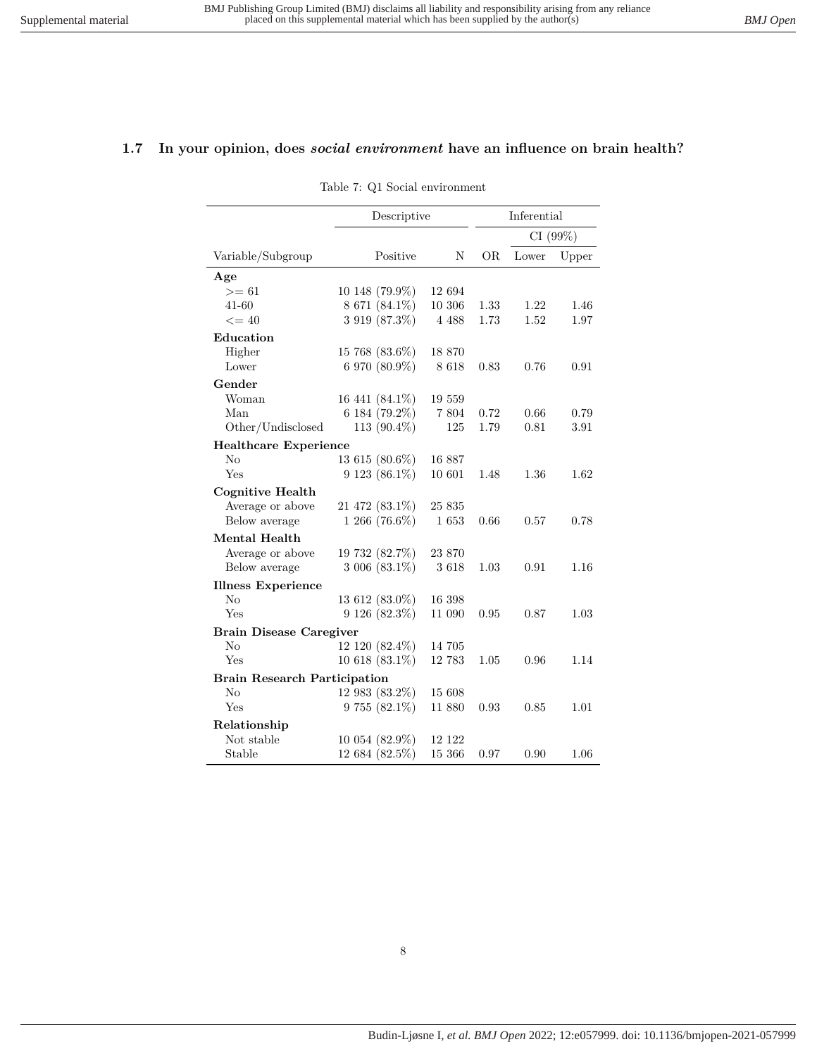#### <span id="page-7-0"></span>**1.7 In your opinion, does** *social environment* **have an influence on brain health?**

Table 7: Q1 Social environment

|                                     | Descriptive          |         |           | Inferential |       |
|-------------------------------------|----------------------|---------|-----------|-------------|-------|
|                                     |                      |         |           | CI (99%)    |       |
| Variable/Subgroup                   | Positive             | Ν       | <b>OR</b> | Lower       | Upper |
| Age                                 |                      |         |           |             |       |
| $>= 61$                             | 10 148 (79.9%)       | 12 694  |           |             |       |
| 41-60                               | 8 671 (84.1%)        | 10 306  | 1.33      | 1.22        | 1.46  |
| $\leq$ = 40                         | 3 919 (87.3%)        | 4 4 8 8 | 1.73      | 1.52        | 1.97  |
| Education                           |                      |         |           |             |       |
| Higher                              | 15 768 (83.6%)       | 18 870  |           |             |       |
| Lower                               | 6 970 (80.9%)        | 8 6 1 8 | 0.83      | 0.76        | 0.91  |
| Gender                              |                      |         |           |             |       |
| Woman                               | 16 441 (84.1%)       | 19 559  |           |             |       |
| Man                                 | 6 184 (79.2%)        | 7 804   | 0.72      | 0.66        | 0.79  |
| Other/Undisclosed                   | 113 $(90.4\%)$       | 125     | 1.79      | 0.81        | 3.91  |
| <b>Healthcare Experience</b>        |                      |         |           |             |       |
| No                                  | 13 615 (80.6%)       | 16 887  |           |             |       |
| Yes                                 | 9 123 (86.1%)        | 10 601  | 1.48      | 1.36        | 1.62  |
| <b>Cognitive Health</b>             |                      |         |           |             |       |
| Average or above                    | $21\;472\; (83.1\%)$ | 25 835  |           |             |       |
| Below average                       | 1 266 (76.6%)        | 1653    | 0.66      | 0.57        | 0.78  |
| Mental Health                       |                      |         |           |             |       |
| Average or above                    | 19 732 (82.7%)       | 23 870  |           |             |       |
| Below average                       | $3006(83.1\%)$       | 3618    | 1.03      | 0.91        | 1.16  |
| <b>Illness Experience</b>           |                      |         |           |             |       |
| $\rm No$                            | 13 612 (83.0%)       | 16 398  |           |             |       |
| Yes                                 | $9126(82.3\%)$       | 11 090  | 0.95      | 0.87        | 1.03  |
| <b>Brain Disease Caregiver</b>      |                      |         |           |             |       |
| No                                  | 12 120 (82.4%)       | 14 705  |           |             |       |
| Yes                                 | $10618(83.1\%)$      | 12 783  | 1.05      | 0.96        | 1.14  |
| <b>Brain Research Participation</b> |                      |         |           |             |       |
| No                                  | 12 983 (83.2%)       | 15 608  |           |             |       |
| Yes                                 | $9755(82.1\%)$       | 11 880  | 0.93      | 0.85        | 1.01  |
| Relationship                        |                      |         |           |             |       |
| Not stable                          | 10 054 (82.9%)       | 12 122  |           |             |       |
| Stable                              | 12 684 (82.5%)       | 15 366  | 0.97      | 0.90        | 1.06  |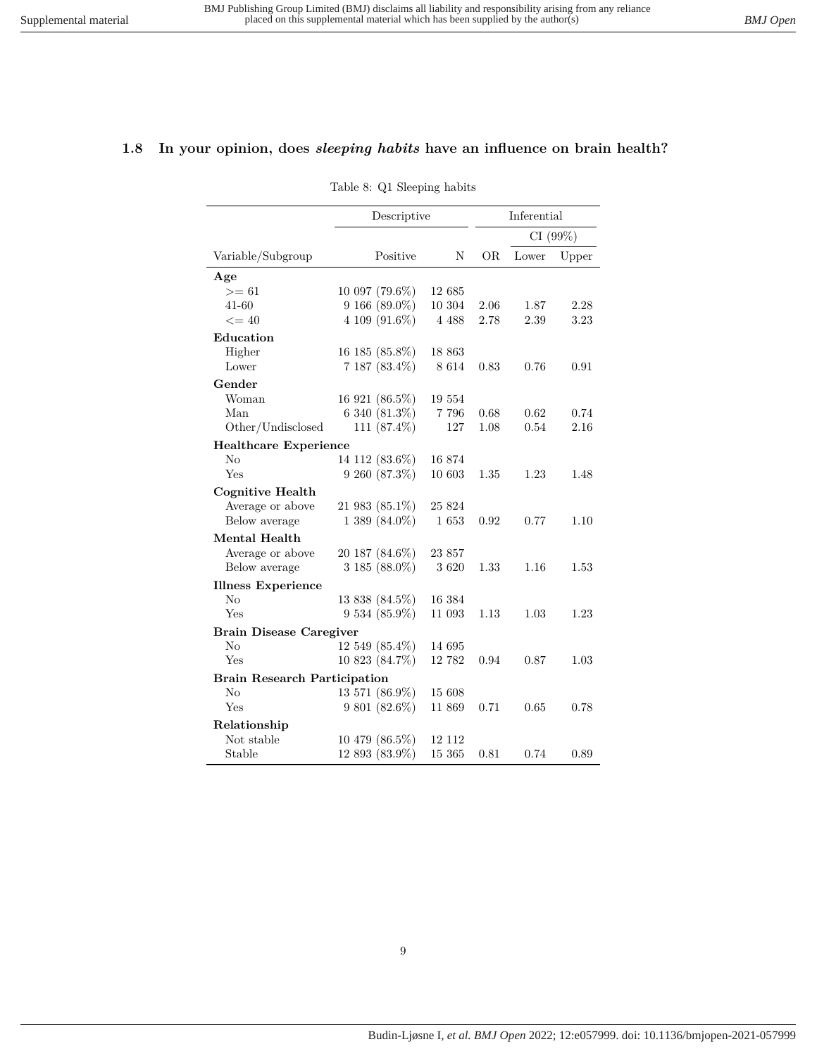#### <span id="page-8-0"></span>**1.8 In your opinion, does** *sleeping habits* **have an influence on brain health?**

Table 8: Q1 Sleeping habits

|                                     | Descriptive        |         | Inferential |       |         |  |
|-------------------------------------|--------------------|---------|-------------|-------|---------|--|
|                                     |                    |         |             |       | CI(99%) |  |
| Variable/Subgroup                   | Positive           | N       | ÓR          | Lower | Upper   |  |
| Age                                 |                    |         |             |       |         |  |
| $>= 61$                             | 10 097 (79.6%)     | 12 685  |             |       |         |  |
| 41-60                               | $9166(89.0\%)$     | 10 304  | 2.06        | 1.87  | 2.28    |  |
| $\leq$ = 40                         | 4 109 (91.6%)      | 4 4 8 8 | 2.78        | 2.39  | 3.23    |  |
| Education                           |                    |         |             |       |         |  |
| Higher                              | 16 185 (85.8%)     | 18 863  |             |       |         |  |
| Lower                               | $7187(83.4\%)$     | 8 6 1 4 | 0.83        | 0.76  | 0.91    |  |
| Gender                              |                    |         |             |       |         |  |
| Woman                               | 16 921 (86.5%)     | 19 554  |             |       |         |  |
| Man                                 | 6 340 (81.3%)      | 7 7 9 6 | 0.68        | 0.62  | 0.74    |  |
| Other/Undisclosed                   | 111 $(87.4\%)$     | 127     | 1.08        | 0.54  | 2.16    |  |
| <b>Healthcare Experience</b>        |                    |         |             |       |         |  |
| $\rm No$                            | 14 112 (83.6%)     | 16 874  |             |       |         |  |
| Yes                                 | $9\,260\,(87.3\%)$ | 10 603  | 1.35        | 1.23  | 1.48    |  |
| Cognitive Health                    |                    |         |             |       |         |  |
| Average or above                    | 21 983 (85.1%)     | 25 824  |             |       |         |  |
| Below average                       | $1389(84.0\%)$     | 1653    | 0.92        | 0.77  | 1.10    |  |
| <b>Mental Health</b>                |                    |         |             |       |         |  |
| Average or above                    | 20 187 (84.6%)     | 23 857  |             |       |         |  |
| Below average                       | $3185(88.0\%)$     | 3620    | 1.33        | 1.16  | 1.53    |  |
| <b>Illness Experience</b>           |                    |         |             |       |         |  |
| N <sub>o</sub>                      | 13 838 (84.5%)     | 16 384  |             |       |         |  |
| Yes                                 | $9534(85.9\%)$     | 11 093  | 1.13        | 1.03  | 1.23    |  |
| <b>Brain Disease Caregiver</b>      |                    |         |             |       |         |  |
| No                                  | 12 549 (85.4%)     | 14 695  |             |       |         |  |
| Yes                                 | 10 823 (84.7%)     | 12 782  | 0.94        | 0.87  | 1.03    |  |
| <b>Brain Research Participation</b> |                    |         |             |       |         |  |
| $\rm No$                            | 13 571 (86.9%)     | 15 608  |             |       |         |  |
| Yes                                 | $9801(82.6\%)$     | 11 869  | 0.71        | 0.65  | 0.78    |  |
| Relationship                        |                    |         |             |       |         |  |
| Not stable                          | 10 479 (86.5%)     | 12 112  |             |       |         |  |
| Stable                              | 12 893 (83.9%)     | 15 365  | 0.81        | 0.74  | 0.89    |  |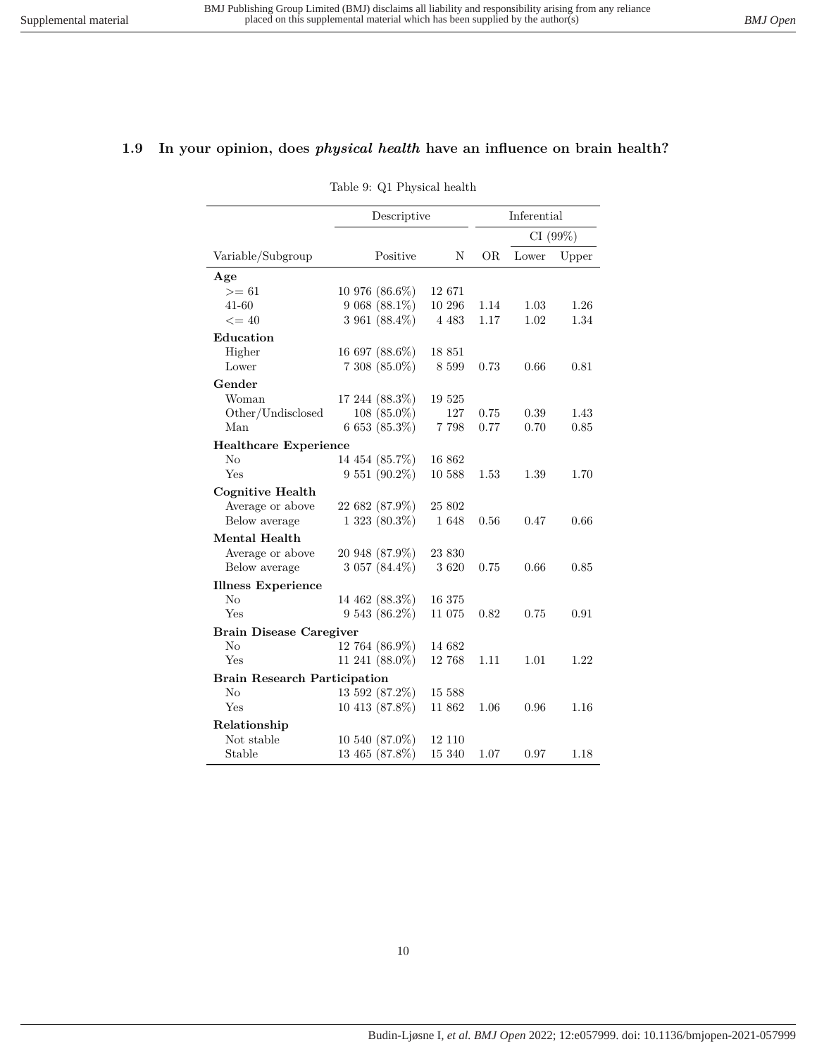### <span id="page-9-0"></span>**1.9 In your opinion, does** *physical health* **have an influence on brain health?**

Table 9: Q1 Physical health

|                                     | Descriptive        |         | Inferential |       |          |  |
|-------------------------------------|--------------------|---------|-------------|-------|----------|--|
|                                     |                    |         |             |       | CI (99%) |  |
| Variable/Subgroup                   | Positive           | N       | OR.         | Lower | Upper    |  |
| Age                                 |                    |         |             |       |          |  |
| $>= 61$                             | 10 976 (86.6%)     | 12 671  |             |       |          |  |
| 41-60                               | $9068(88.1\%)$     | 10 296  | 1.14        | 1.03  | 1.26     |  |
| $\leq$ = 40                         | 3 961 $(88.4\%)$   | 4 4 8 3 | 1.17        | 1.02  | 1.34     |  |
| Education                           |                    |         |             |       |          |  |
| Higher                              | 16 697 (88.6%)     | 18 851  |             |       |          |  |
| Lower                               | $7308(85.0\%)$     | 8 5 9 9 | 0.73        | 0.66  | 0.81     |  |
| Gender                              |                    |         |             |       |          |  |
| Woman                               | 17 244 (88.3%)     | 19 525  |             |       |          |  |
| Other/Undisclosed                   | $108(85.0\%)$      | 127     | 0.75        | 0.39  | 1.43     |  |
| Man                                 | $6653(85.3\%)$     | 7 7 9 8 | 0.77        | 0.70  | 0.85     |  |
| <b>Healthcare Experience</b>        |                    |         |             |       |          |  |
| No                                  | 14 454 (85.7%)     | 16 862  |             |       |          |  |
| Yes                                 | $9551(90.2\%)$     | 10 588  | 1.53        | 1.39  | 1.70     |  |
| Cognitive Health                    |                    |         |             |       |          |  |
| Average or above                    | 22 682 (87.9%)     | 25 802  |             |       |          |  |
| Below average                       | $1\,323\,(80.3\%)$ | 1648    | 0.56        | 0.47  | 0.66     |  |
| Mental Health                       |                    |         |             |       |          |  |
| Average or above                    | 20 948 (87.9%)     | 23 830  |             |       |          |  |
| Below average                       | 3 057 (84.4%)      | 3620    | 0.75        | 0.66  | 0.85     |  |
| <b>Illness Experience</b>           |                    |         |             |       |          |  |
| $\rm No$                            | 14 462 (88.3%)     | 16 375  |             |       |          |  |
| Yes                                 | $9543(86.2\%)$     | 11 075  | 0.82        | 0.75  | 0.91     |  |
| <b>Brain Disease Caregiver</b>      |                    |         |             |       |          |  |
| $\rm No$                            | 12 764 (86.9%)     | 14 682  |             |       |          |  |
| Yes                                 | 11 241 (88.0%)     | 12 768  | 1.11        | 1.01  | 1.22     |  |
| <b>Brain Research Participation</b> |                    |         |             |       |          |  |
| $\rm No$                            | 13 592 (87.2%)     | 15 588  |             |       |          |  |
| Yes                                 | 10 413 (87.8%)     | 11 862  | 1.06        | 0.96  | 1.16     |  |
| Relationship                        |                    |         |             |       |          |  |
| Not stable                          | 10 540 (87.0%)     | 12 110  |             |       |          |  |
| Stable                              | 13 465 (87.8%)     | 15 340  | 1.07        | 0.97  | 1.18     |  |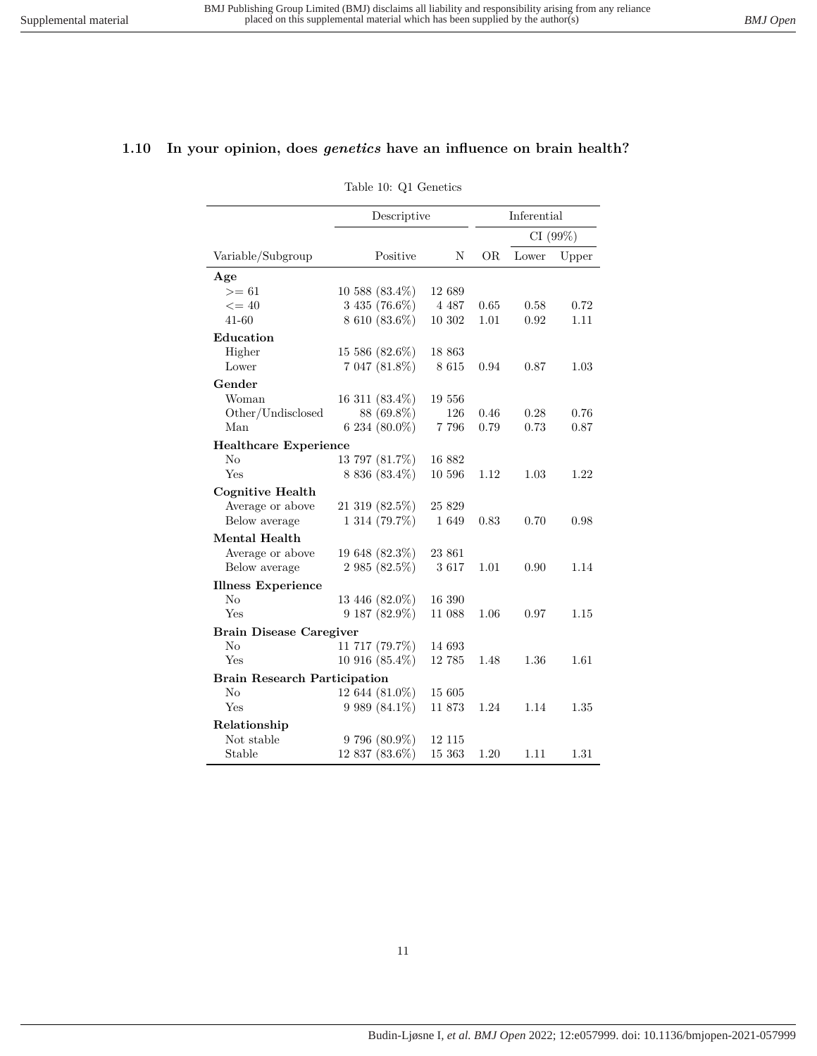#### <span id="page-10-0"></span>**1.10 In your opinion, does** *genetics* **have an influence on brain health?**

Table 10: Q1 Genetics

|                                     | Descriptive      |         | Inferential |       |       |
|-------------------------------------|------------------|---------|-------------|-------|-------|
|                                     |                  |         | CI(99%)     |       |       |
| Variable/Subgroup                   | Positive         | N       | OR.         | Lower | Upper |
| Age                                 |                  |         |             |       |       |
| $>= 61$                             | 10 588 (83.4%)   | 12 689  |             |       |       |
| $\leq$ = 40                         | 3 435 (76.6%)    | 4 4 8 7 | 0.65        | 0.58  | 0.72  |
| $41 - 60$                           | 8 610 (83.6%)    | 10 302  | 1.01        | 0.92  | 1.11  |
| Education                           |                  |         |             |       |       |
| Higher                              | 15 586 (82.6%)   | 18 863  |             |       |       |
| Lower                               | 7 047 (81.8%)    | 8 6 1 5 | 0.94        | 0.87  | 1.03  |
| Gender                              |                  |         |             |       |       |
| Woman                               | 16 311 (83.4%)   | 19 556  |             |       |       |
| Other/Undisclosed                   | 88 (69.8%)       | 126     | 0.46        | 0.28  | 0.76  |
| Man                                 | 6 234 $(80.0\%)$ | 7 7 9 6 | 0.79        | 0.73  | 0.87  |
| <b>Healthcare Experience</b>        |                  |         |             |       |       |
| $\rm No$                            | 13 797 (81.7%)   | 16 882  |             |       |       |
| Yes                                 | $8836(83.4\%)$   | 10 596  | 1.12        | 1.03  | 1.22  |
| Cognitive Health                    |                  |         |             |       |       |
| Average or above                    | 21 319 (82.5%)   | 25 829  |             |       |       |
| Below average                       | 1 314 (79.7%)    | 1 649   | 0.83        | 0.70  | 0.98  |
| <b>Mental Health</b>                |                  |         |             |       |       |
| Average or above                    | 19 648 (82.3%)   | 23 861  |             |       |       |
| Below average                       | 2 985 (82.5%)    | 3617    | 1.01        | 0.90  | 1.14  |
| <b>Illness Experience</b>           |                  |         |             |       |       |
| No                                  | 13 446 (82.0%)   | 16 390  |             |       |       |
| Yes                                 | $9187(82.9\%)$   | 11 088  | 1.06        | 0.97  | 1.15  |
| <b>Brain Disease Caregiver</b>      |                  |         |             |       |       |
| No                                  | 11 717 (79.7%)   | 14 693  |             |       |       |
| Yes                                 | $10916(85.4\%)$  | 12785   | 1.48        | 1.36  | 1.61  |
| <b>Brain Research Participation</b> |                  |         |             |       |       |
| No                                  | 12 644 (81.0%)   | 15 605  |             |       |       |
| Yes                                 | $9989(84.1\%)$   | 11873   | 1.24        | 1.14  | 1.35  |
| Relationship                        |                  |         |             |       |       |
| Not stable                          | 9 796 (80.9%)    | 12 115  |             |       |       |
| Stable                              | 12 837 (83.6%)   | 15 363  | 1.20        | 1.11  | 1.31  |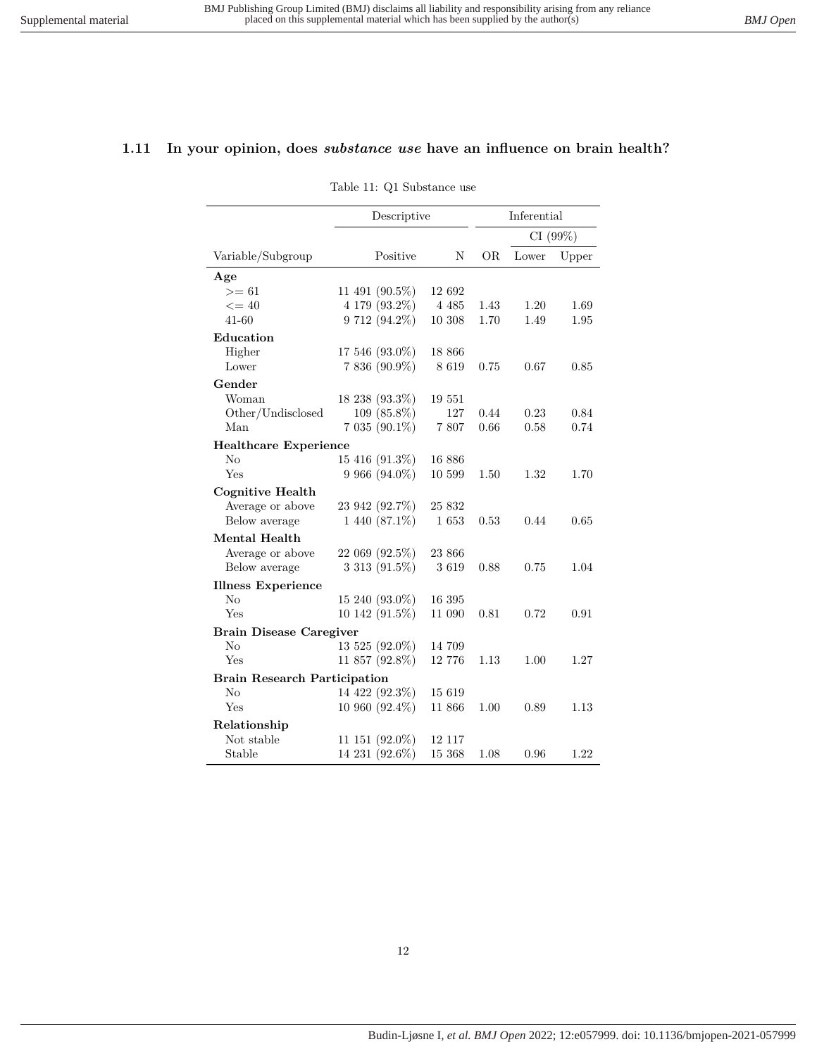#### <span id="page-11-0"></span>**1.11 In your opinion, does** *substance use* **have an influence on brain health?**

Table 11: Q1 Substance use

|                                     | Descriptive         |         | Inferential |       |          |  |
|-------------------------------------|---------------------|---------|-------------|-------|----------|--|
|                                     |                     |         |             |       | CI (99%) |  |
| Variable/Subgroup                   | Positive            | N       | OR.         | Lower | Upper    |  |
| Age                                 |                     |         |             |       |          |  |
| $>= 61$                             | 11 491 (90.5%)      | 12 692  |             |       |          |  |
| $\leq$ = 40                         | 4 179 (93.2%)       | 4 4 8 5 | 1.43        | 1.20  | 1.69     |  |
| 41-60                               | $9712(94.2\%)$      | 10 308  | 1.70        | 1.49  | 1.95     |  |
| Education                           |                     |         |             |       |          |  |
| Higher                              | 17 546 (93.0%)      | 18 866  |             |       |          |  |
| Lower                               | 7 836 (90.9%)       | 8619    | 0.75        | 0.67  | 0.85     |  |
| Gender                              |                     |         |             |       |          |  |
| Woman                               | 18 238 (93.3%)      | 19 551  |             |       |          |  |
| Other/Undisclosed                   | $109(85.8\%)$       | 127     | 0.44        | 0.23  | 0.84     |  |
| Man                                 | $7035(90.1\%)$      | 7807    | 0.66        | 0.58  | 0.74     |  |
| <b>Healthcare Experience</b>        |                     |         |             |       |          |  |
| No                                  | 15 416 (91.3%)      | 16 886  |             |       |          |  |
| Yes                                 | $9\,966\ (94.0\%)$  | 10 599  | 1.50        | 1.32  | 1.70     |  |
| <b>Cognitive Health</b>             |                     |         |             |       |          |  |
| Average or above                    | 23 942 (92.7%)      | 25 832  |             |       |          |  |
| Below average                       | $1440(87.1\%)$      | 1653    | 0.53        | 0.44  | 0.65     |  |
| Mental Health                       |                     |         |             |       |          |  |
| Average or above                    | 22 069 (92.5%)      | 23 866  |             |       |          |  |
| Below average                       | 3 313 (91.5%)       | 3619    | 0.88        | 0.75  | 1.04     |  |
| <b>Illness Experience</b>           |                     |         |             |       |          |  |
| $\rm No$                            | $15\ 240\ (93.0\%)$ | 16 395  |             |       |          |  |
| Yes                                 | 10 142 (91.5%)      | 11 090  | 0.81        | 0.72  | 0.91     |  |
| <b>Brain Disease Caregiver</b>      |                     |         |             |       |          |  |
| $\rm No$                            | 13 525 (92.0%)      | 14 709  |             |       |          |  |
| Yes                                 | 11 857 (92.8%)      | 12 776  | 1.13        | 1.00  | 1.27     |  |
| <b>Brain Research Participation</b> |                     |         |             |       |          |  |
| No                                  | 14 422 (92.3%)      | 15 619  |             |       |          |  |
| Yes                                 | 10 960 (92.4%)      | 11 866  | 1.00        | 0.89  | 1.13     |  |
| Relationship                        |                     |         |             |       |          |  |
| Not stable                          | 11 151 (92.0%)      | 12 117  |             |       |          |  |
| Stable                              | 14 231 (92.6%)      | 15 368  | 1.08        | 0.96  | 1.22     |  |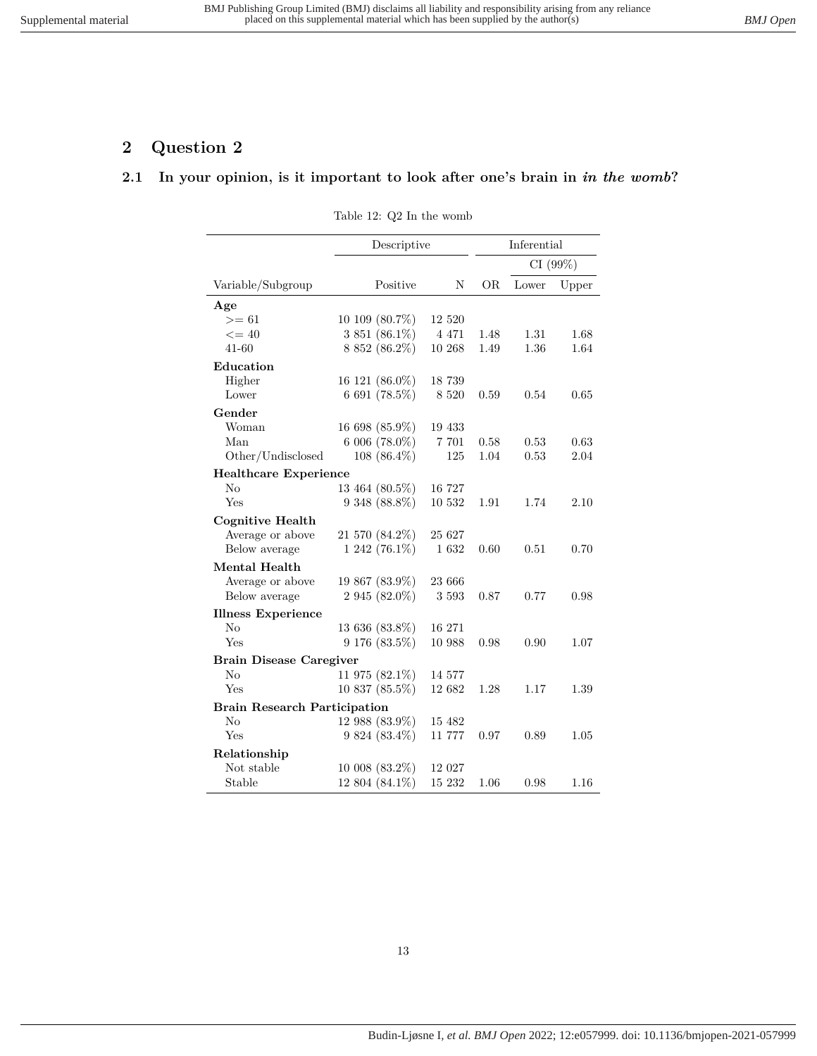# <span id="page-12-1"></span><span id="page-12-0"></span>**2 Question 2**

# **2.1 In your opinion, is it important to look after one's brain in** *in the womb***?**

Table 12: Q2 In the womb

|                                     | Descriptive          |         | Inferential |         |       |
|-------------------------------------|----------------------|---------|-------------|---------|-------|
|                                     |                      |         |             | CI(99%) |       |
| Variable/Subgroup                   | Positive             | N       | OR.         | Lower   | Upper |
| Age                                 |                      |         |             |         |       |
| $>= 61$                             | 10 109 (80.7%)       | 12 520  |             |         |       |
| $\leq$ = 40                         | 3 851 (86.1%)        | 4 4 7 1 | 1.48        | 1.31    | 1.68  |
| $41 - 60$                           | 8 852 (86.2%)        | 10 268  | 1.49        | 1.36    | 1.64  |
| Education                           |                      |         |             |         |       |
| Higher                              | 16 121 (86.0%)       | 18 739  |             |         |       |
| Lower                               | 6 691 $(78.5\%)$     | 8 5 20  | 0.59        | 0.54    | 0.65  |
| Gender                              |                      |         |             |         |       |
| Woman                               | 16 698 (85.9%)       | 19 433  |             |         |       |
| Man                                 | $6006(78.0\%)$       | 7 701   | 0.58        | 0.53    | 0.63  |
| Other/Undisclosed                   | 108 (86.4%)          | 125     | 1.04        | 0.53    | 2.04  |
| <b>Healthcare Experience</b>        |                      |         |             |         |       |
| No                                  | 13 464 (80.5%)       | 16 727  |             |         |       |
| Yes                                 | $9348(88.8\%)$       | 10 532  | 1.91        | 1.74    | 2.10  |
| <b>Cognitive Health</b>             |                      |         |             |         |       |
| Average or above                    | 21 570 (84.2%)       | 25 627  |             |         |       |
| Below average                       | 1 242 (76.1%)        | 1632    | 0.60        | 0.51    | 0.70  |
| <b>Mental Health</b>                |                      |         |             |         |       |
| Average or above                    | 19 867 (83.9%)       | 23 666  |             |         |       |
| Below average                       | 2 945 (82.0%)        | 3 5 9 3 | 0.87        | 0.77    | 0.98  |
| <b>Illness Experience</b>           |                      |         |             |         |       |
| No                                  | 13 636 (83.8%)       | 16 271  |             |         |       |
| Yes                                 | $9~176~(83.5\%)$     | 10 988  | 0.98        | 0.90    | 1.07  |
| <b>Brain Disease Caregiver</b>      |                      |         |             |         |       |
| No                                  | 11 975 $(82.1\%)$    | 14 577  |             |         |       |
| Yes                                 | $10\;837\; (85.5\%)$ | 12 682  | 1.28        | 1.17    | 1.39  |
| <b>Brain Research Participation</b> |                      |         |             |         |       |
| $\rm No$                            | 12 988 (83.9%)       | 15 482  |             |         |       |
| Yes                                 | $9824(83.4\%)$       | 11 777  | 0.97        | 0.89    | 1.05  |
| Relationship                        |                      |         |             |         |       |
| Not stable                          | $10008(83.2\%)$      | 12 027  |             |         |       |
| Stable                              | 12 804 (84.1%)       | 15 232  | 1.06        | 0.98    | 1.16  |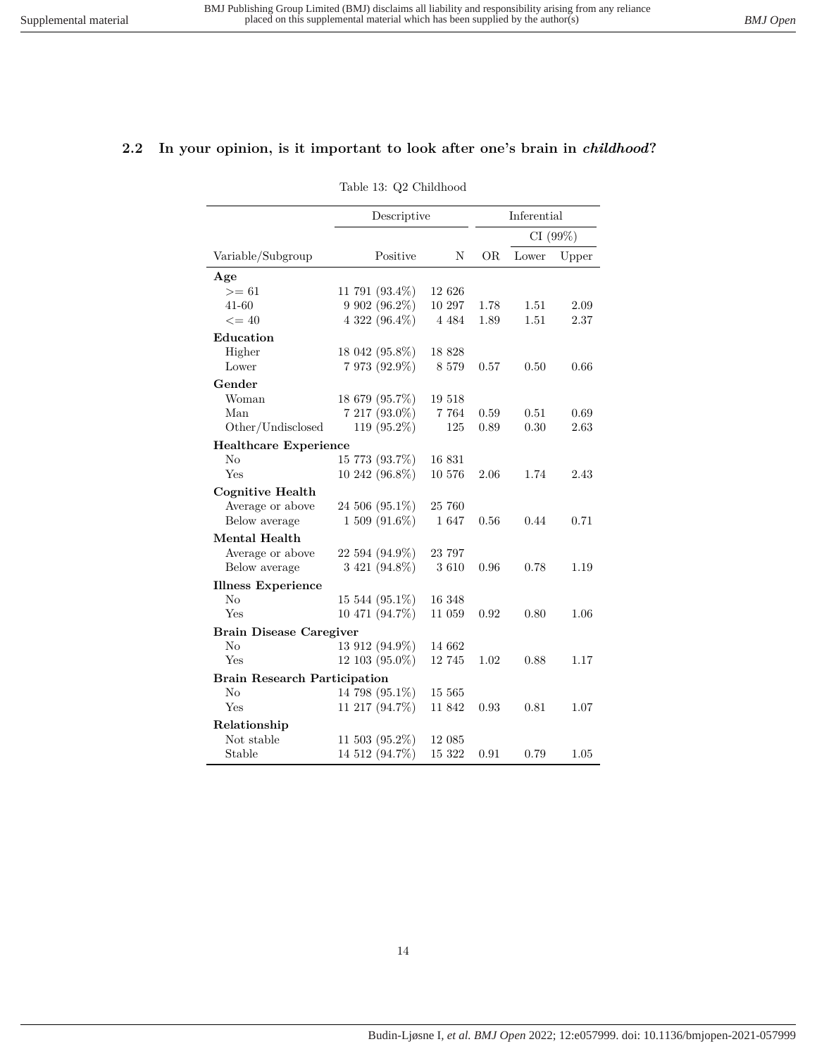#### <span id="page-13-0"></span>**2.2 In your opinion, is it important to look after one's brain in** *childhood***?**

Table 13: Q2 Childhood

|                                     | Descriptive          |         | Inferential |         |       |
|-------------------------------------|----------------------|---------|-------------|---------|-------|
|                                     |                      |         |             | CI(99%) |       |
| Variable/Subgroup                   | Positive             | N       | OR.         | Lower   | Upper |
| Age                                 |                      |         |             |         |       |
| $>= 61$                             | 11 791 $(93.4\%)$    | 12 626  |             |         |       |
| 41-60                               | 9 902 (96.2%)        | 10 297  | 1.78        | 1.51    | 2.09  |
| $\leq$ = 40                         | 4 322 (96.4%)        | 4 4 8 4 | 1.89        | 1.51    | 2.37  |
| Education                           |                      |         |             |         |       |
| Higher                              | 18 042 (95.8%)       | 18 8 28 |             |         |       |
| Lower                               | 7 973 (92.9%)        | 8 5 7 9 | 0.57        | 0.50    | 0.66  |
| Gender                              |                      |         |             |         |       |
| Woman                               | 18 679 (95.7%)       | 19 518  |             |         |       |
| Man                                 | $7217(93.0\%)$       | 7 7 6 4 | 0.59        | 0.51    | 0.69  |
| Other/Undisclosed                   | 119 (95.2%)          | 125     | 0.89        | 0.30    | 2.63  |
| <b>Healthcare Experience</b>        |                      |         |             |         |       |
| $\rm No$                            | 15 773 (93.7%)       | 16 831  |             |         |       |
| Yes                                 | 10 242 (96.8%)       | 10 576  | 2.06        | 1.74    | 2.43  |
| Cognitive Health                    |                      |         |             |         |       |
| Average or above                    | 24 506 (95.1%)       | 25 760  |             |         |       |
| Below average                       | $1509(91.6\%)$       | 1647    | 0.56        | 0.44    | 0.71  |
| Mental Health                       |                      |         |             |         |       |
| Average or above                    | 22 594 (94.9%)       | 23 797  |             |         |       |
| Below average                       | 3 421 (94.8%)        | 3610    | 0.96        | 0.78    | 1.19  |
| <b>Illness Experience</b>           |                      |         |             |         |       |
| No                                  | $15\;544\; (95.1\%)$ | 16 348  |             |         |       |
| Yes                                 | 10 471 (94.7%)       | 11 059  | 0.92        | 0.80    | 1.06  |
| <b>Brain Disease Caregiver</b>      |                      |         |             |         |       |
| $\rm No$                            | 13 912 (94.9%)       | 14 662  |             |         |       |
| Yes                                 | 12 103 (95.0%)       | 12 745  | 1.02        | 0.88    | 1.17  |
| <b>Brain Research Participation</b> |                      |         |             |         |       |
| $\rm No$                            | 14 798 (95.1%)       | 15 565  |             |         |       |
| Yes                                 | 11 217 (94.7%)       | 11 842  | 0.93        | 0.81    | 1.07  |
| Relationship                        |                      |         |             |         |       |
| Not stable                          | $11\;503\; (95.2\%)$ | 12 085  |             |         |       |
| Stable                              | 14 512 (94.7%)       | 15 322  | 0.91        | 0.79    | 1.05  |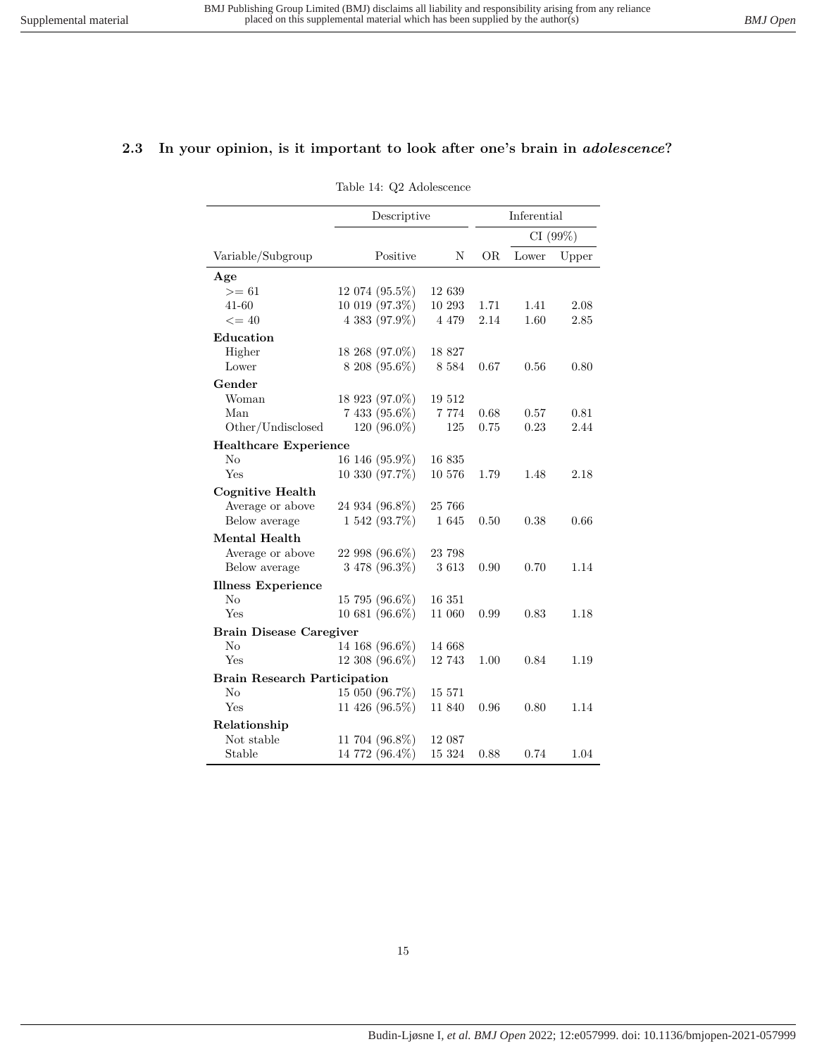### <span id="page-14-0"></span>**2.3 In your opinion, is it important to look after one's brain in** *adolescence***?**

Table 14: Q2 Adolescence

|                                     | Descriptive    |         | Inferential |       |          |
|-------------------------------------|----------------|---------|-------------|-------|----------|
|                                     |                |         |             |       | CI (99%) |
| Variable/Subgroup                   | Positive       | N       | OR.         | Lower | Upper    |
| Age                                 |                |         |             |       |          |
| $>= 61$                             | 12 074 (95.5%) | 12 639  |             |       |          |
| 41-60                               | 10 019 (97.3%) | 10 293  | 1.71        | 1.41  | 2.08     |
| $\leq$ = 40                         | 4 383 (97.9%)  | 4 4 7 9 | 2.14        | 1.60  | 2.85     |
| Education                           |                |         |             |       |          |
| Higher                              | 18 268 (97.0%) | 18 827  |             |       |          |
| Lower                               | $8208(95.6\%)$ | 8 5 8 4 | 0.67        | 0.56  | 0.80     |
| Gender                              |                |         |             |       |          |
| Woman                               | 18 923 (97.0%) | 19 512  |             |       |          |
| Man                                 | 7 433 (95.6%)  | 7 7 7 4 | 0.68        | 0.57  | 0.81     |
| Other/Undisclosed                   | 120 (96.0%)    | 125     | 0.75        | 0.23  | 2.44     |
| <b>Healthcare Experience</b>        |                |         |             |       |          |
| No                                  | 16 146 (95.9%) | 16 835  |             |       |          |
| Yes                                 | 10 330 (97.7%) | 10 576  | 1.79        | 1.48  | 2.18     |
| Cognitive Health                    |                |         |             |       |          |
| Average or above                    | 24 934 (96.8%) | 25 766  |             |       |          |
| Below average                       | 1 542 (93.7%)  | 1 645   | 0.50        | 0.38  | 0.66     |
| Mental Health                       |                |         |             |       |          |
| Average or above                    | 22 998 (96.6%) | 23 798  |             |       |          |
| Below average                       | 3 478 (96.3%)  | 3613    | 0.90        | 0.70  | 1.14     |
| <b>Illness Experience</b>           |                |         |             |       |          |
| No                                  | 15 795 (96.6%) | 16 351  |             |       |          |
| Yes                                 | 10 681 (96.6%) | 11 060  | 0.99        | 0.83  | 1.18     |
| <b>Brain Disease Caregiver</b>      |                |         |             |       |          |
| No                                  | 14 168 (96.6%) | 14 668  |             |       |          |
| Yes                                 | 12 308 (96.6%) | 12 743  | 1.00        | 0.84  | 1.19     |
| <b>Brain Research Participation</b> |                |         |             |       |          |
| $\rm No$                            | 15 050 (96.7%) | 15 571  |             |       |          |
| Yes                                 | 11 426 (96.5%) | 11 840  | 0.96        | 0.80  | 1.14     |
| Relationship                        |                |         |             |       |          |
| Not stable                          | 11 704 (96.8%) | 12 087  |             |       |          |
| Stable                              | 14 772 (96.4%) | 15 324  | 0.88        | 0.74  | 1.04     |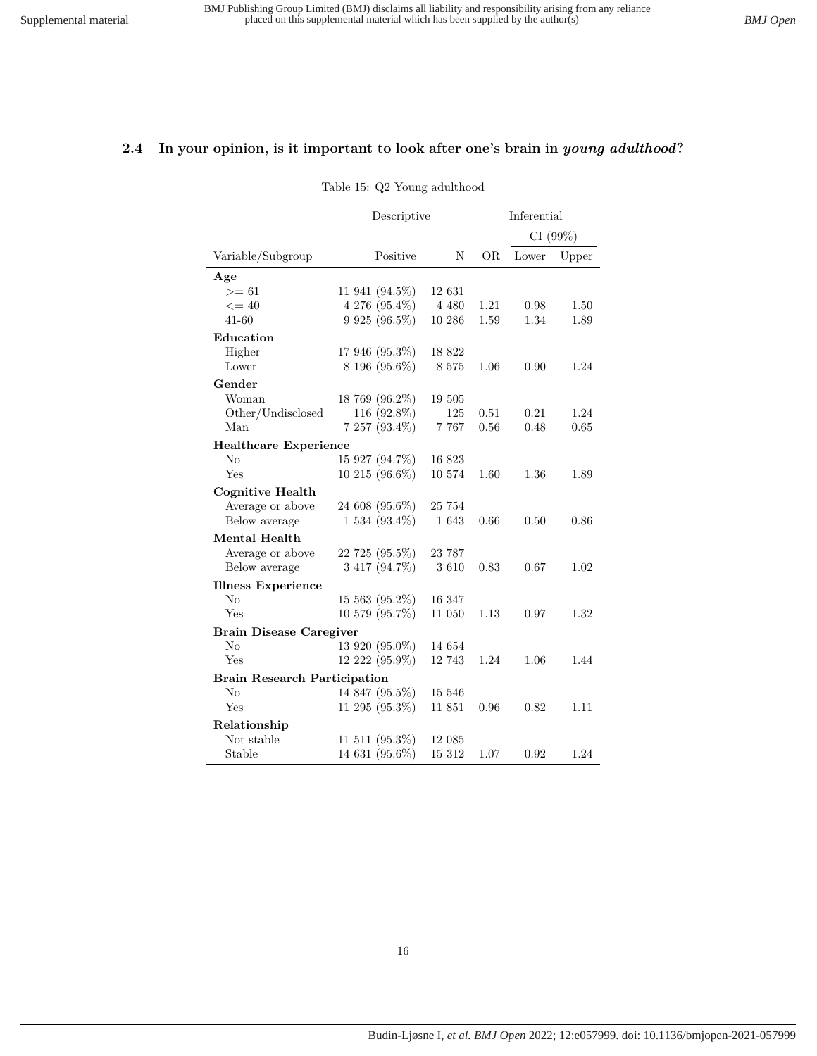### <span id="page-15-0"></span>**2.4 In your opinion, is it important to look after one's brain in** *young adulthood***?**

Table 15: Q2 Young adulthood

|                                     | Descriptive          |         | Inferential |       |         |
|-------------------------------------|----------------------|---------|-------------|-------|---------|
|                                     |                      |         |             |       | CI(99%) |
| Variable/Subgroup                   | Positive             | N       | ÓR          | Lower | Upper   |
| Age                                 |                      |         |             |       |         |
| $>= 61$                             | 11 941 (94.5%)       | 12 631  |             |       |         |
| $\leq$ = 40                         | 4 276 (95.4%)        | 4 4 8 0 | 1.21        | 0.98  | 1.50    |
| 41-60                               | 9 9 25 (96.5%)       | 10 286  | 1.59        | 1.34  | 1.89    |
| Education                           |                      |         |             |       |         |
| Higher                              | 17 946 (95.3%)       | 18 822  |             |       |         |
| Lower                               | 8 196 (95.6%)        | 8 5 7 5 | 1.06        | 0.90  | 1.24    |
| Gender                              |                      |         |             |       |         |
| Woman                               | 18 769 (96.2%)       | 19 505  |             |       |         |
| Other/Undisclosed                   | 116 (92.8%)          | 125     | 0.51        | 0.21  | 1.24    |
| Man                                 | $7257(93.4\%)$       | 7 7 6 7 | 0.56        | 0.48  | 0.65    |
| <b>Healthcare Experience</b>        |                      |         |             |       |         |
| No                                  | 15 927 (94.7%)       | 16 823  |             |       |         |
| Yes                                 | $10\;215\; (96.6\%)$ | 10 574  | 1.60        | 1.36  | 1.89    |
| <b>Cognitive Health</b>             |                      |         |             |       |         |
| Average or above                    | 24 608 (95.6%)       | 25 754  |             |       |         |
| Below average                       | $1534(93.4\%)$       | 1 643   | 0.66        | 0.50  | 0.86    |
| Mental Health                       |                      |         |             |       |         |
| Average or above                    | 22 725 (95.5%)       | 23 787  |             |       |         |
| Below average                       | 3 417 (94.7%)        | 3610    | 0.83        | 0.67  | 1.02    |
| <b>Illness Experience</b>           |                      |         |             |       |         |
| No                                  | $15\;563\; (95.2\%)$ | 16 347  |             |       |         |
| Yes                                 | 10 579 (95.7%)       | 11 050  | 1.13        | 0.97  | 1.32    |
| <b>Brain Disease Caregiver</b>      |                      |         |             |       |         |
| No                                  | 13 920 (95.0%)       | 14 654  |             |       |         |
| Yes                                 | 12 222 (95.9%)       | 12 743  | 1.24        | 1.06  | 1.44    |
| <b>Brain Research Participation</b> |                      |         |             |       |         |
| $\rm No$                            | 14 847 (95.5%)       | 15 546  |             |       |         |
| Yes                                 | 11 295 (95.3%)       | 11 851  | 0.96        | 0.82  | 1.11    |
| Relationship                        |                      |         |             |       |         |
| Not stable                          | 11 511 (95.3%)       | 12 085  |             |       |         |
| Stable                              | 14 631 (95.6%)       | 15 312  | 1.07        | 0.92  | 1.24    |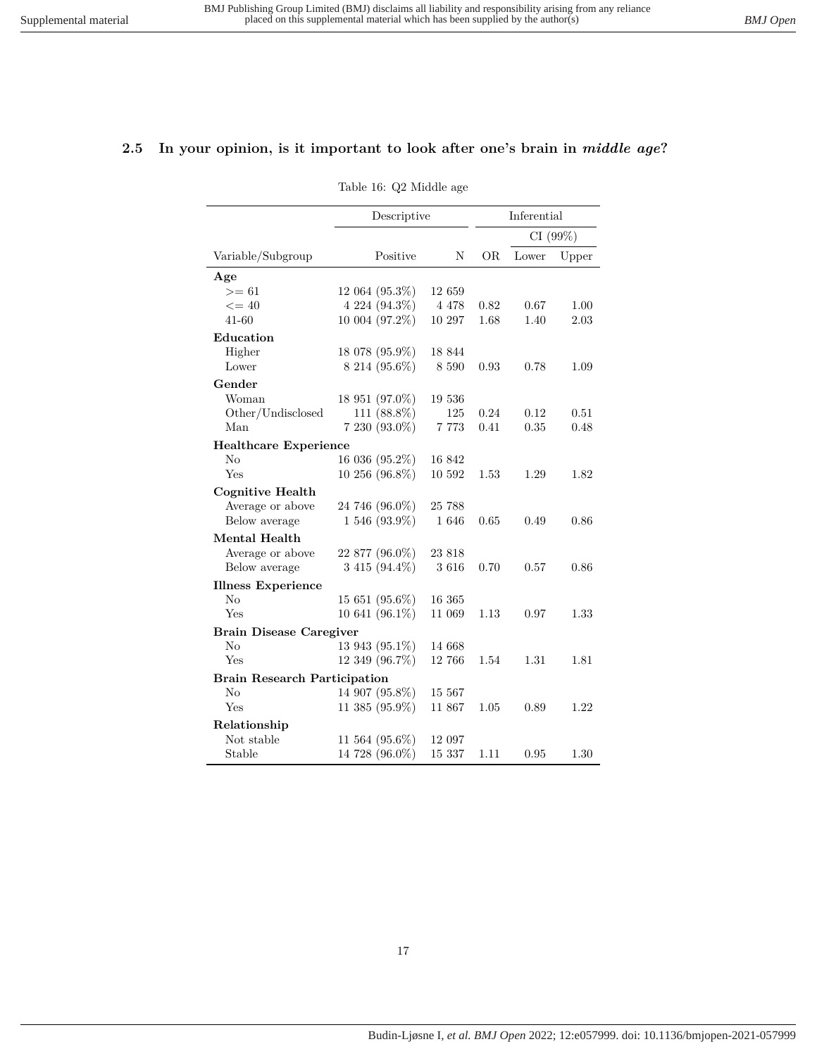### <span id="page-16-0"></span>**2.5 In your opinion, is it important to look after one's brain in** *middle age***?**

Table 16: Q2 Middle age

|                                     | Descriptive          |         | Inferential |       |         |
|-------------------------------------|----------------------|---------|-------------|-------|---------|
|                                     |                      |         |             |       | CI(99%) |
| Variable/Subgroup                   | Positive             | N       | OR.         | Lower | Upper   |
| Age                                 |                      |         |             |       |         |
| $>= 61$                             | $12\;064\; (95.3\%)$ | 12 659  |             |       |         |
| $\leq$ = 40                         | 4 224 (94.3%)        | 4 4 7 8 | 0.82        | 0.67  | 1.00    |
| 41-60                               | 10 004 (97.2%)       | 10 297  | 1.68        | 1.40  | 2.03    |
| Education                           |                      |         |             |       |         |
| Higher                              | 18 078 (95.9%)       | 18 844  |             |       |         |
| Lower                               | 8 214 (95.6%)        | 8 5 9 0 | 0.93        | 0.78  | 1.09    |
| Gender                              |                      |         |             |       |         |
| Woman                               | 18 951 (97.0%)       | 19 536  |             |       |         |
| Other/Undisclosed                   | 111 (88.8%)          | 125     | 0.24        | 0.12  | 0.51    |
| Man                                 | 7 230 (93.0%)        | 7 7 7 3 | 0.41        | 0.35  | 0.48    |
| <b>Healthcare Experience</b>        |                      |         |             |       |         |
| No                                  | 16 036 (95.2%)       | 16 842  |             |       |         |
| Yes                                 | 10 256 (96.8%)       | 10 592  | 1.53        | 1.29  | 1.82    |
| <b>Cognitive Health</b>             |                      |         |             |       |         |
| Average or above                    | 24 746 (96.0%)       | 25 788  |             |       |         |
| Below average                       | 1 546 (93.9%)        | 1646    | 0.65        | 0.49  | 0.86    |
| Mental Health                       |                      |         |             |       |         |
| Average or above                    | 22 877 (96.0%)       | 23 818  |             |       |         |
| Below average                       | 3 415 (94.4%)        | 3616    | 0.70        | 0.57  | 0.86    |
| <b>Illness Experience</b>           |                      |         |             |       |         |
| N <sub>o</sub>                      | 15 651 (95.6%)       | 16 365  |             |       |         |
| Yes                                 | 10 641 (96.1%)       | 11 069  | 1.13        | 0.97  | 1.33    |
| <b>Brain Disease Caregiver</b>      |                      |         |             |       |         |
| No                                  | 13 943 (95.1%)       | 14 668  |             |       |         |
| Yes                                 | 12 349 (96.7%)       | 12 766  | 1.54        | 1.31  | 1.81    |
| <b>Brain Research Participation</b> |                      |         |             |       |         |
| No                                  | 14 907 (95.8%)       | 15 567  |             |       |         |
| Yes                                 | 11 385 (95.9%)       | 11 867  | 1.05        | 0.89  | 1.22    |
| Relationship                        |                      |         |             |       |         |
| Not stable                          | 11 564 (95.6%)       | 12 097  |             |       |         |
| Stable                              | 14 728 (96.0%)       | 15 337  | 1.11        | 0.95  | 1.30    |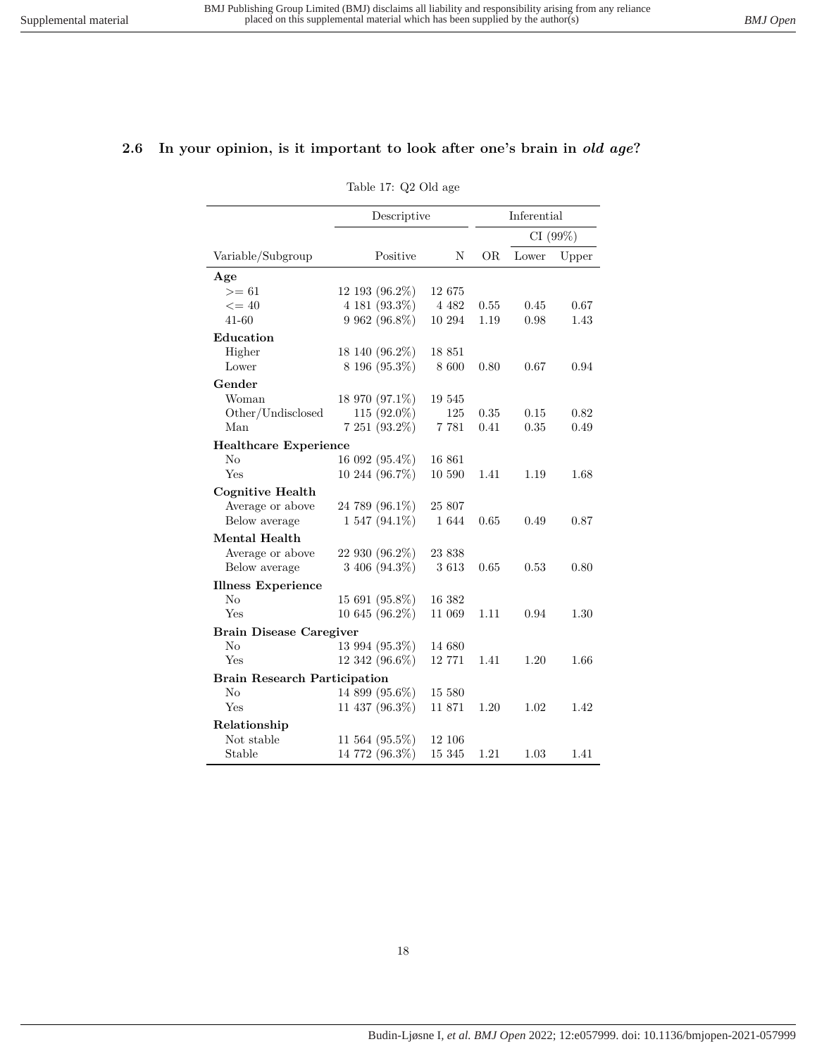### <span id="page-17-0"></span>**2.6 In your opinion, is it important to look after one's brain in** *old age***?**

| Table 17: Q2 Old age |  |  |
|----------------------|--|--|
|                      |  |  |

|                                     | Descriptive          |         | Inferential |       |         |
|-------------------------------------|----------------------|---------|-------------|-------|---------|
|                                     |                      |         |             |       | CI(99%) |
| Variable/Subgroup                   | Positive             | N       | OR.         | Lower | Upper   |
| Age                                 |                      |         |             |       |         |
| $>= 61$                             | 12 193 (96.2%)       | 12 675  |             |       |         |
| $\leq$ = 40                         | 4 181 (93.3%)        | 4 4 8 2 | 0.55        | 0.45  | 0.67    |
| 41-60                               | 9 962 (96.8%)        | 10 294  | 1.19        | 0.98  | 1.43    |
| Education                           |                      |         |             |       |         |
| Higher                              | 18 140 (96.2%)       | 18 851  |             |       |         |
| Lower                               | 8 196 (95.3%)        | 8 600   | 0.80        | 0.67  | 0.94    |
| Gender                              |                      |         |             |       |         |
| Woman                               | 18 970 (97.1%)       | 19 545  |             |       |         |
| Other/Undisclosed                   | $115(92.0\%)$        | 125     | 0.35        | 0.15  | 0.82    |
| Man                                 | 7 251 (93.2%)        | 7 7 8 1 | 0.41        | 0.35  | 0.49    |
| <b>Healthcare Experience</b>        |                      |         |             |       |         |
| No                                  | 16 092 (95.4%)       | 16 861  |             |       |         |
| Yes                                 | 10 244 (96.7%)       | 10 590  | 1.41        | 1.19  | 1.68    |
| <b>Cognitive Health</b>             |                      |         |             |       |         |
| Average or above                    | 24 789 (96.1%)       | 25 807  |             |       |         |
| Below average                       | $1547(94.1\%)$       | 1 644   | 0.65        | 0.49  | 0.87    |
| Mental Health                       |                      |         |             |       |         |
| Average or above                    | 22 930 (96.2%)       | 23 838  |             |       |         |
| Below average                       | 3 406 (94.3%)        | 3613    | 0.65        | 0.53  | 0.80    |
| <b>Illness Experience</b>           |                      |         |             |       |         |
| N <sub>o</sub>                      | 15 691 (95.8%)       | 16 382  |             |       |         |
| Yes                                 | 10 645 (96.2%)       | 11 069  | 1.11        | 0.94  | 1.30    |
| <b>Brain Disease Caregiver</b>      |                      |         |             |       |         |
| No                                  | 13 994 (95.3%)       | 14 680  |             |       |         |
| Yes                                 | 12 342 (96.6%)       | 12 771  | 1.41        | 1.20  | 1.66    |
| <b>Brain Research Participation</b> |                      |         |             |       |         |
| No                                  | 14 899 (95.6%)       | 15 580  |             |       |         |
| Yes                                 | 11 437 (96.3%)       | 11 871  | 1.20        | 1.02  | 1.42    |
| Relationship                        |                      |         |             |       |         |
| Not stable                          | $11\;564\; (95.5\%)$ | 12 106  |             |       |         |
| Stable                              | 14 772 (96.3%)       | 15 345  | 1.21        | 1.03  | 1.41    |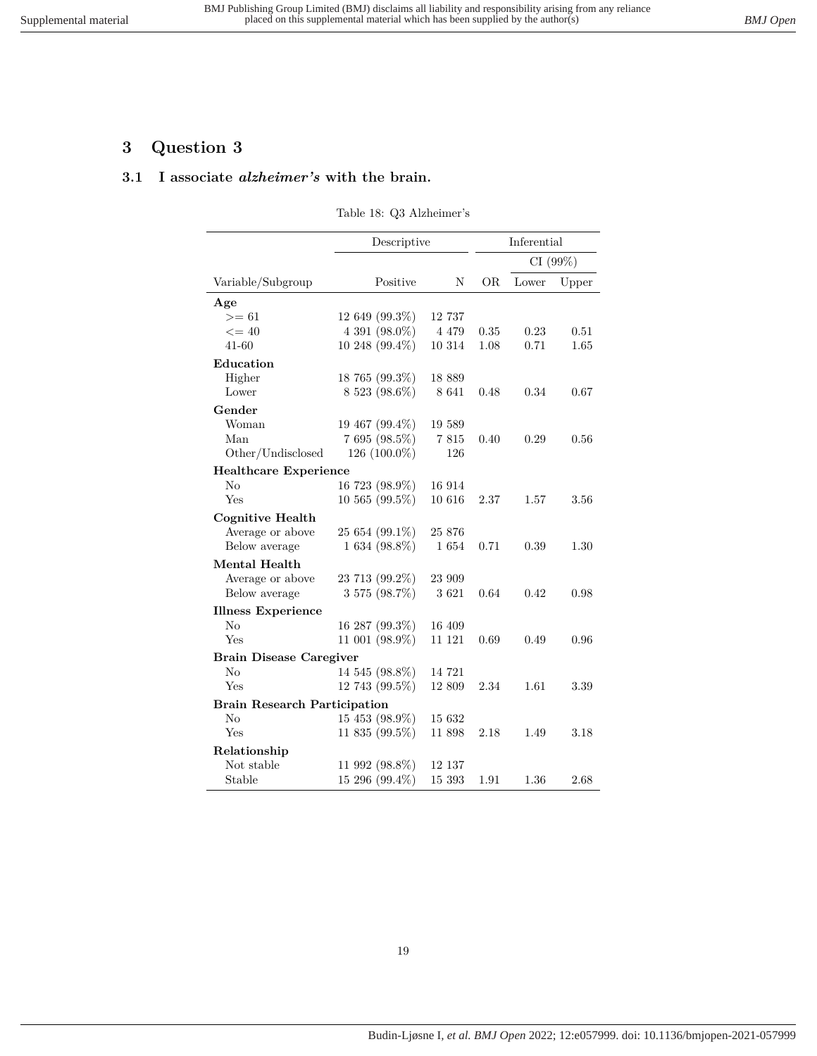# <span id="page-18-1"></span><span id="page-18-0"></span>**3 Question 3**

#### **3.1 I associate** *alzheimer's* **with the brain.**

| Table 18: Q3 Alzheimer's |
|--------------------------|
|--------------------------|

|                                     | Descriptive         |         | Inferential |          |       |
|-------------------------------------|---------------------|---------|-------------|----------|-------|
|                                     |                     |         |             | CI (99%) |       |
| Variable/Subgroup                   | Positive            | N       | OR.         | Lower    | Upper |
| Age                                 |                     |         |             |          |       |
| $>= 61$                             | 12 649 (99.3%)      | 12 737  |             |          |       |
| $\leq$ = 40                         | 4 391 (98.0%)       | 4 4 7 9 | 0.35        | 0.23     | 0.51  |
| $41 - 60$                           | $10248(99.4\%)$     | 10 314  | 1.08        | 0.71     | 1.65  |
| Education                           |                     |         |             |          |       |
| Higher                              | 18 765 (99.3%)      | 18 889  |             |          |       |
| Lower                               | 8 523 (98.6%)       | 8 6 4 1 | 0.48        | 0.34     | 0.67  |
| Gender                              |                     |         |             |          |       |
| Woman                               | 19 467 (99.4%)      | 19 589  |             |          |       |
| Man                                 | 7 695 (98.5%)       | 7815    | 0.40        | 0.29     | 0.56  |
| Other/Undisclosed                   | 126 (100.0%)        | 126     |             |          |       |
| <b>Healthcare Experience</b>        |                     |         |             |          |       |
| No                                  | 16 723 (98.9%)      | 16 914  |             |          |       |
| Yes                                 | $10\,565\,(99.5\%)$ | 10 616  | 2.37        | 1.57     | 3.56  |
| <b>Cognitive Health</b>             |                     |         |             |          |       |
| Average or above                    | 25 654 (99.1%)      | 25 876  |             |          |       |
| Below average                       | $1634(98.8\%)$      | 1654    | 0.71        | 0.39     | 1.30  |
| <b>Mental Health</b>                |                     |         |             |          |       |
| Average or above                    | 23 713 (99.2%)      | 23 909  |             |          |       |
| Below average                       | 3 575 (98.7%)       | 3621    | 0.64        | 0.42     | 0.98  |
| <b>Illness Experience</b>           |                     |         |             |          |       |
| No                                  | 16 287 (99.3%)      | 16 409  |             |          |       |
| Yes                                 | 11 001 (98.9%)      | 11 121  | 0.69        | 0.49     | 0.96  |
| <b>Brain Disease Caregiver</b>      |                     |         |             |          |       |
| $\rm No$                            | 14 545 (98.8%)      | 14 721  |             |          |       |
| Yes                                 | 12 743 (99.5%)      | 12 809  | 2.34        | 1.61     | 3.39  |
| <b>Brain Research Participation</b> |                     |         |             |          |       |
| $\rm No$                            | 15 453 (98.9%)      | 15 632  |             |          |       |
| Yes                                 | 11 835 (99.5%)      | 11 898  | 2.18        | 1.49     | 3.18  |
| Relationship                        |                     |         |             |          |       |
| Not stable                          | 11 992 (98.8%)      | 12 137  |             |          |       |
| Stable                              | $15\,296\,(99.4\%)$ | 15 393  | 1.91        | 1.36     | 2.68  |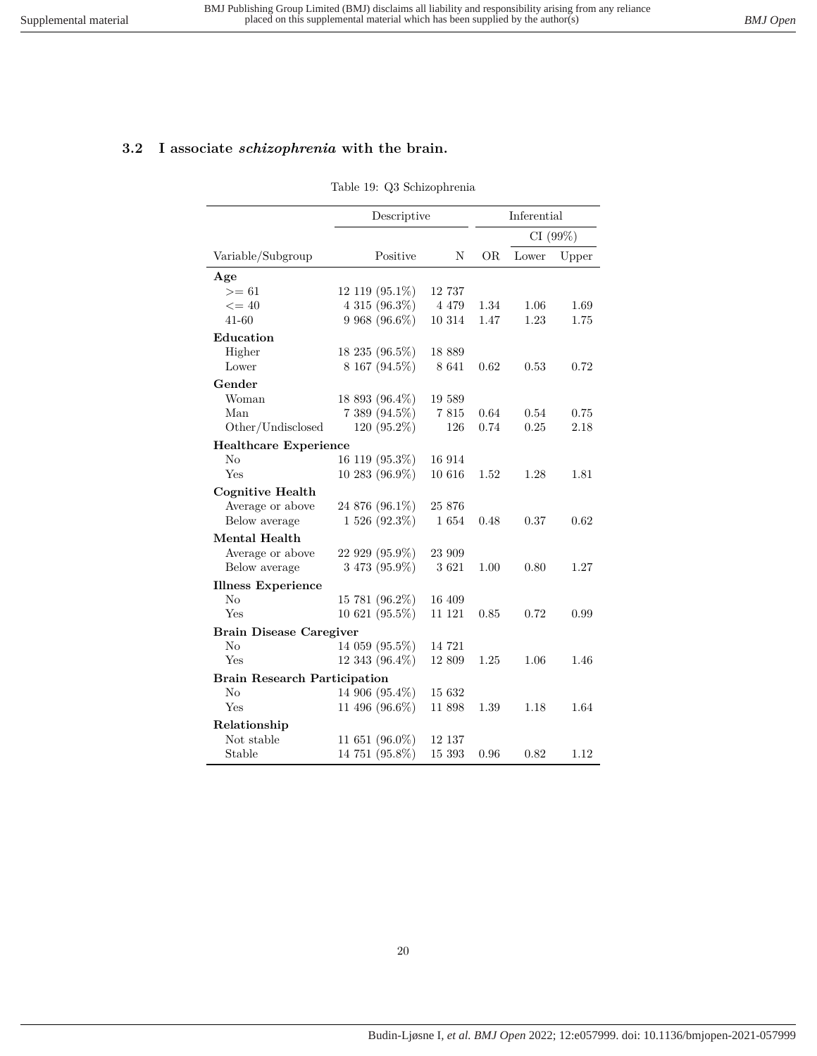# <span id="page-19-0"></span>**3.2 I associate** *schizophrenia* **with the brain.**

Table 19: Q3 Schizophrenia

|                                     | Descriptive          |         | Inferential |       |         |
|-------------------------------------|----------------------|---------|-------------|-------|---------|
|                                     |                      |         |             |       | CI(99%) |
| Variable/Subgroup                   | Positive             | N       | OR.         | Lower | Upper   |
| Age                                 |                      |         |             |       |         |
| $>= 61$                             | $12\;119\; (95.1\%)$ | 12 737  |             |       |         |
| $\leq$ = 40                         | 4 315 (96.3%)        | 4 4 7 9 | 1.34        | 1.06  | 1.69    |
| $41 - 60$                           | 9 968 (96.6%)        | 10 314  | 1.47        | 1.23  | 1.75    |
| Education                           |                      |         |             |       |         |
| Higher                              | 18 235 (96.5%)       | 18 889  |             |       |         |
| Lower                               | 8 167 (94.5%)        | 8 641   | 0.62        | 0.53  | 0.72    |
| Gender                              |                      |         |             |       |         |
| Woman                               | 18 893 (96.4%)       | 19 589  |             |       |         |
| Man                                 | 7 389 (94.5%)        | 7815    | 0.64        | 0.54  | 0.75    |
| Other/Undisclosed                   | $120(95.2\%)$        | 126     | 0.74        | 0.25  | 2.18    |
| <b>Healthcare Experience</b>        |                      |         |             |       |         |
| $\rm No$                            | 16 119 (95.3%)       | 16 914  |             |       |         |
| Yes                                 | 10 283 (96.9%)       | 10 616  | 1.52        | 1.28  | 1.81    |
| <b>Cognitive Health</b>             |                      |         |             |       |         |
| Average or above                    | 24 876 (96.1%)       | 25 876  |             |       |         |
| Below average                       | $1526(92.3\%)$       | 1654    | 0.48        | 0.37  | 0.62    |
| Mental Health                       |                      |         |             |       |         |
| Average or above                    | 22 929 (95.9%)       | 23 909  |             |       |         |
| Below average                       | $3473(95.9\%)$       | 3621    | 1.00        | 0.80  | 1.27    |
| <b>Illness Experience</b>           |                      |         |             |       |         |
| $\rm No$                            | 15 781 (96.2%)       | 16 409  |             |       |         |
| Yes                                 | 10 621 (95.5%)       | 11 121  | 0.85        | 0.72  | 0.99    |
| <b>Brain Disease Caregiver</b>      |                      |         |             |       |         |
| No                                  | 14 059 (95.5%)       | 14 721  |             |       |         |
| Yes                                 | 12 343 (96.4%)       | 12 809  | 1.25        | 1.06  | 1.46    |
| <b>Brain Research Participation</b> |                      |         |             |       |         |
| No                                  | 14 906 (95.4%)       | 15 632  |             |       |         |
| Yes                                 | 11 496 (96.6%)       | 11 898  | 1.39        | 1.18  | 1.64    |
| Relationship                        |                      |         |             |       |         |
| Not stable                          | 11 651 (96.0%)       | 12 137  |             |       |         |
| Stable                              | 14 751 (95.8%)       | 15 393  | 0.96        | 0.82  | 1.12    |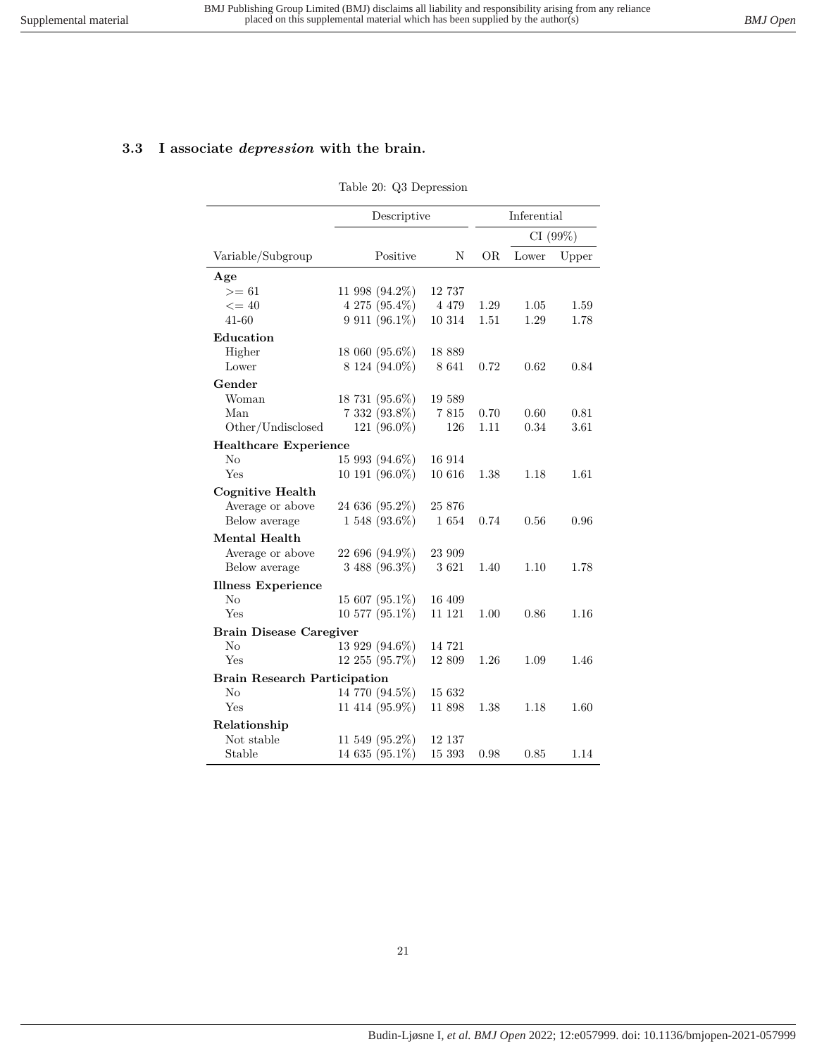# <span id="page-20-0"></span>**3.3 I associate** *depression* **with the brain.**

#### Table 20: Q3 Depression

|                                     | Descriptive       |         | Inferential |       |          |
|-------------------------------------|-------------------|---------|-------------|-------|----------|
|                                     |                   |         |             |       | CI (99%) |
| Variable/Subgroup                   | Positive          | N       | OR.         | Lower | Upper    |
| Age                                 |                   |         |             |       |          |
| $>= 61$                             | 11 998 (94.2%)    | 12 737  |             |       |          |
| $\leq$ = 40                         | 4 275 (95.4%)     | 4 4 7 9 | 1.29        | 1.05  | 1.59     |
| 41-60                               | 9 911 (96.1%)     | 10 314  | $1.51\,$    | 1.29  | 1.78     |
| Education                           |                   |         |             |       |          |
| Higher                              | 18 060 (95.6%)    | 18 889  |             |       |          |
| Lower                               | 8 124 (94.0%)     | 8 6 4 1 | 0.72        | 0.62  | 0.84     |
| Gender                              |                   |         |             |       |          |
| Woman                               | 18 731 (95.6%)    | 19 589  |             |       |          |
| Man                                 | 7 332 (93.8%)     | 7815    | 0.70        | 0.60  | 0.81     |
| Other/Undisclosed                   | 121 $(96.0\%)$    | 126     | 1.11        | 0.34  | 3.61     |
| <b>Healthcare Experience</b>        |                   |         |             |       |          |
| $\rm No$                            | 15 993 (94.6%)    | 16 914  |             |       |          |
| Yes                                 | 10 191 (96.0%)    | 10 616  | 1.38        | 1.18  | 1.61     |
| <b>Cognitive Health</b>             |                   |         |             |       |          |
| Average or above                    | 24 636 (95.2%)    | 25 876  |             |       |          |
| Below average                       | $1548(93.6\%)$    | 1654    | 0.74        | 0.56  | 0.96     |
| Mental Health                       |                   |         |             |       |          |
| Average or above                    | 22 696 (94.9%)    | 23 909  |             |       |          |
| Below average                       | $3488(96.3\%)$    | 3621    | 1.40        | 1.10  | 1.78     |
| <b>Illness Experience</b>           |                   |         |             |       |          |
| No                                  | 15 607 (95.1%)    | 16 409  |             |       |          |
| Yes                                 | 10 577 (95.1%)    | 11 121  | 1.00        | 0.86  | 1.16     |
| <b>Brain Disease Caregiver</b>      |                   |         |             |       |          |
| $\rm No$                            | 13 929 (94.6%)    | 14 721  |             |       |          |
| Yes                                 | 12 255 (95.7%)    | 12 809  | 1.26        | 1.09  | 1.46     |
| <b>Brain Research Participation</b> |                   |         |             |       |          |
| No                                  | 14 770 (94.5%)    | 15 632  |             |       |          |
| Yes                                 | 11 414 (95.9%)    | 11 898  | 1.38        | 1.18  | 1.60     |
| Relationship                        |                   |         |             |       |          |
| Not stable                          | 11 549 $(95.2\%)$ | 12 137  |             |       |          |
| Stable                              | 14 635 (95.1%)    | 15 393  | 0.98        | 0.85  | 1.14     |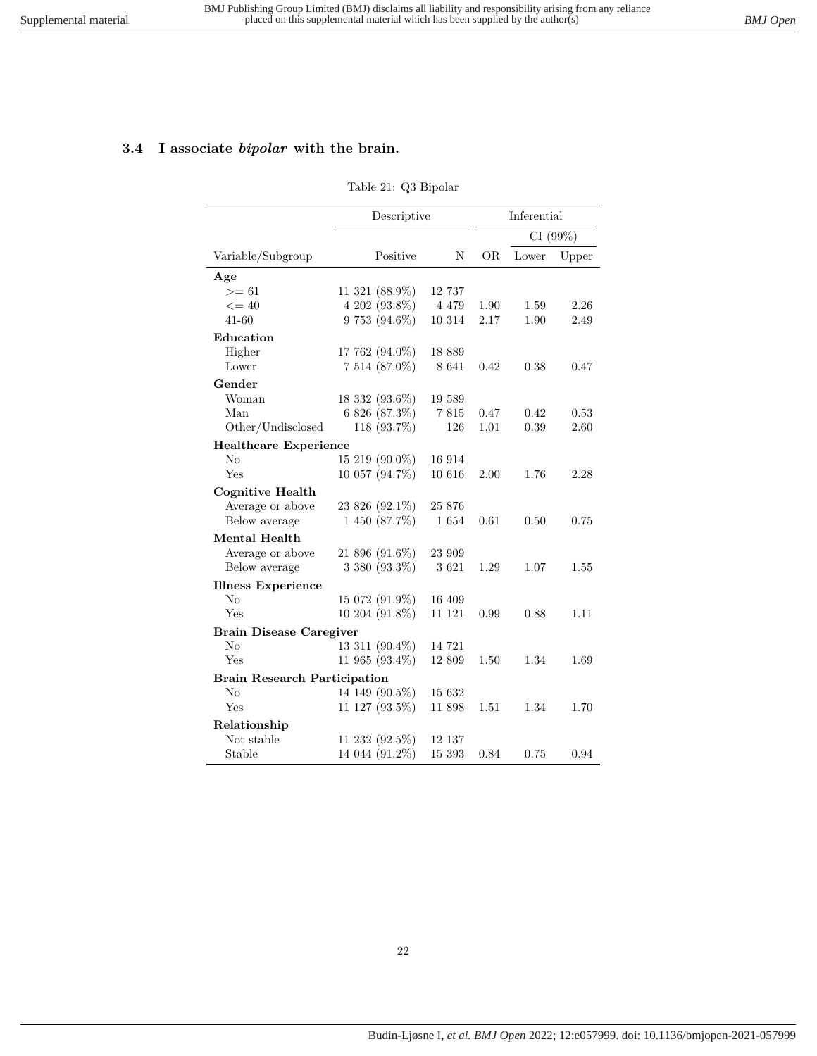# <span id="page-21-0"></span>**3.4 I associate** *bipolar* **with the brain.**

#### Table 21: Q3 Bipolar

|                                     | Descriptive    |         | Inferential |       |         |
|-------------------------------------|----------------|---------|-------------|-------|---------|
|                                     |                |         |             |       | CI(99%) |
| Variable/Subgroup                   | Positive       | N       | OR.         | Lower | Upper   |
| Age                                 |                |         |             |       |         |
| $>= 61$                             | 11 321 (88.9%) | 12 737  |             |       |         |
| $\leq$ = 40                         | 4 202 (93.8%)  | 4 4 7 9 | 1.90        | 1.59  | 2.26    |
| 41-60                               | 9 753 (94.6%)  | 10 314  | 2.17        | 1.90  | 2.49    |
| Education                           |                |         |             |       |         |
| Higher                              | 17 762 (94.0%) | 18 889  |             |       |         |
| Lower                               | 7 514 (87.0%)  | 8 6 4 1 | 0.42        | 0.38  | 0.47    |
| Gender                              |                |         |             |       |         |
| Woman                               | 18 332 (93.6%) | 19 589  |             |       |         |
| Man                                 | 6 826 (87.3%)  | 7815    | 0.47        | 0.42  | 0.53    |
| Other/Undisclosed                   | 118 (93.7%)    | 126     | 1.01        | 0.39  | 2.60    |
| <b>Healthcare Experience</b>        |                |         |             |       |         |
| $\rm No$                            | 15 219 (90.0%) | 16 914  |             |       |         |
| Yes                                 | 10 057 (94.7%) | 10 616  | 2.00        | 1.76  | 2.28    |
| <b>Cognitive Health</b>             |                |         |             |       |         |
| Average or above                    | 23 826 (92.1%) | 25 876  |             |       |         |
| Below average                       | 1 450 (87.7%)  | 1654    | 0.61        | 0.50  | 0.75    |
| Mental Health                       |                |         |             |       |         |
| Average or above                    | 21 896 (91.6%) | 23 909  |             |       |         |
| Below average                       | 3 380 (93.3%)  | 3621    | 1.29        | 1.07  | 1.55    |
| <b>Illness Experience</b>           |                |         |             |       |         |
| No                                  | 15 072 (91.9%) | 16 409  |             |       |         |
| Yes                                 | 10 204 (91.8%) | 11 121  | 0.99        | 0.88  | 1.11    |
| <b>Brain Disease Caregiver</b>      |                |         |             |       |         |
| $\rm No$                            | 13 311 (90.4%) | 14 721  |             |       |         |
| Yes                                 | 11 965 (93.4%) | 12 809  | 1.50        | 1.34  | 1.69    |
| <b>Brain Research Participation</b> |                |         |             |       |         |
| No                                  | 14 149 (90.5%) | 15 632  |             |       |         |
| Yes                                 | 11 127 (93.5%) | 11 898  | 1.51        | 1.34  | 1.70    |
| Relationship                        |                |         |             |       |         |
| Not stable                          | 11 232 (92.5%) | 12 137  |             |       |         |
| Stable                              | 14 044 (91.2%) | 15 393  | 0.84        | 0.75  | 0.94    |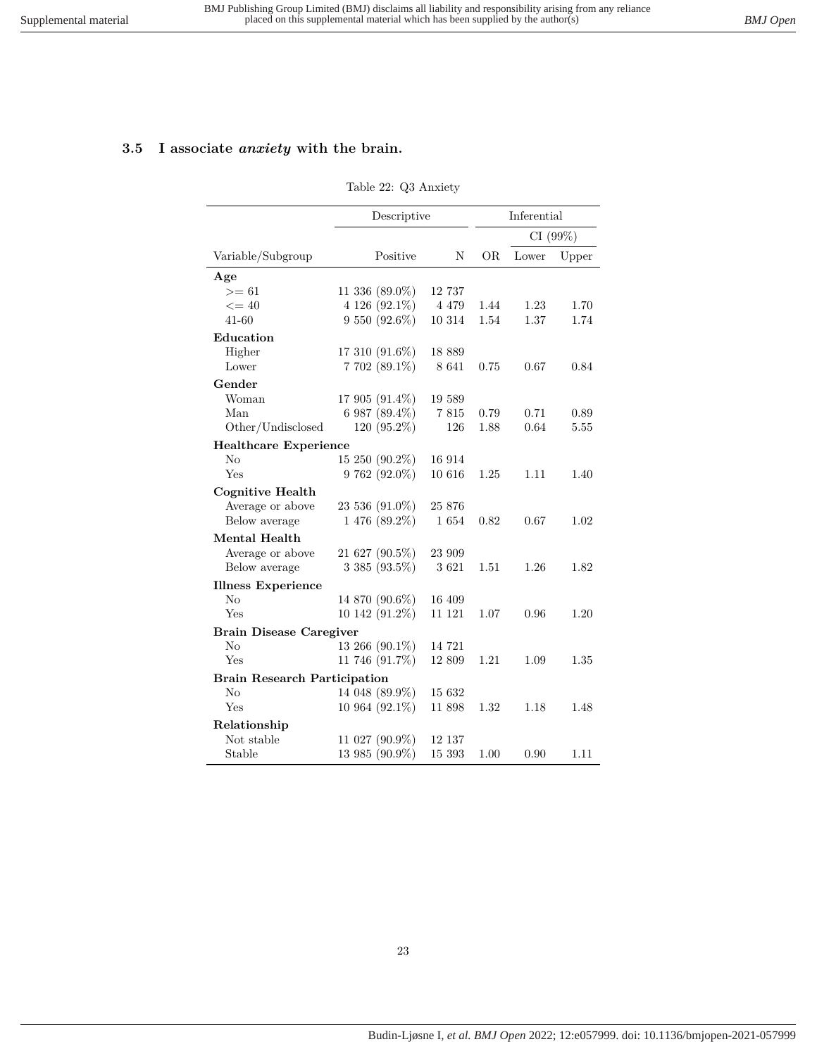# <span id="page-22-0"></span>**3.5 I associate** *anxiety* **with the brain.**

#### Table 22: Q3 Anxiety

|                                     | Descriptive       |         | Inferential |       |          |
|-------------------------------------|-------------------|---------|-------------|-------|----------|
|                                     |                   |         |             |       | CI (99%) |
| Variable/Subgroup                   | Positive          | N       | OR.         | Lower | Upper    |
| Age                                 |                   |         |             |       |          |
| $>= 61$                             | 11 336 $(89.0\%)$ | 12 737  |             |       |          |
| $\leq$ = 40                         | 4 126 (92.1%)     | 4 4 7 9 | 1.44        | 1.23  | 1.70     |
| $41 - 60$                           | 9 550 (92.6%)     | 10 314  | 1.54        | 1.37  | 1.74     |
| Education                           |                   |         |             |       |          |
| Higher                              | 17 310 (91.6%)    | 18 889  |             |       |          |
| Lower                               | 7 702 (89.1%)     | 8 641   | 0.75        | 0.67  | 0.84     |
| Gender                              |                   |         |             |       |          |
| Woman                               | 17 905 (91.4%)    | 19 589  |             |       |          |
| Man                                 | 6 987 (89.4%)     | 7815    | 0.79        | 0.71  | 0.89     |
| Other/Undisclosed                   | $120(95.2\%)$     | 126     | 1.88        | 0.64  | 5.55     |
| <b>Healthcare Experience</b>        |                   |         |             |       |          |
| $\rm No$                            | 15 250 (90.2%)    | 16 914  |             |       |          |
| Yes                                 | 9 762 (92.0%)     | 10 616  | 1.25        | 1.11  | 1.40     |
| <b>Cognitive Health</b>             |                   |         |             |       |          |
| Average or above                    | 23 536 (91.0%)    | 25 876  |             |       |          |
| Below average                       | $1476(89.2\%)$    | 1654    | 0.82        | 0.67  | 1.02     |
| Mental Health                       |                   |         |             |       |          |
| Average or above                    | 21 627 (90.5%)    | 23 909  |             |       |          |
| Below average                       | $3385(93.5\%)$    | 3621    | 1.51        | 1.26  | 1.82     |
| <b>Illness Experience</b>           |                   |         |             |       |          |
| No                                  | 14 870 (90.6%)    | 16 409  |             |       |          |
| Yes                                 | 10 142 (91.2%)    | 11 121  | 1.07        | 0.96  | 1.20     |
| <b>Brain Disease Caregiver</b>      |                   |         |             |       |          |
| $\rm No$                            | 13 266 (90.1%)    | 14 721  |             |       |          |
| Yes                                 | 11 746 (91.7%)    | 12 809  | 1.21        | 1.09  | 1.35     |
| <b>Brain Research Participation</b> |                   |         |             |       |          |
| $\rm No$                            | 14 048 (89.9%)    | 15 632  |             |       |          |
| Yes                                 | 10 964 (92.1%)    | 11 898  | 1.32        | 1.18  | 1.48     |
| Relationship                        |                   |         |             |       |          |
| Not stable                          | 11 027 (90.9%)    | 12 137  |             |       |          |
| Stable                              | 13 985 (90.9%)    | 15 393  | 1.00        | 0.90  | 1.11     |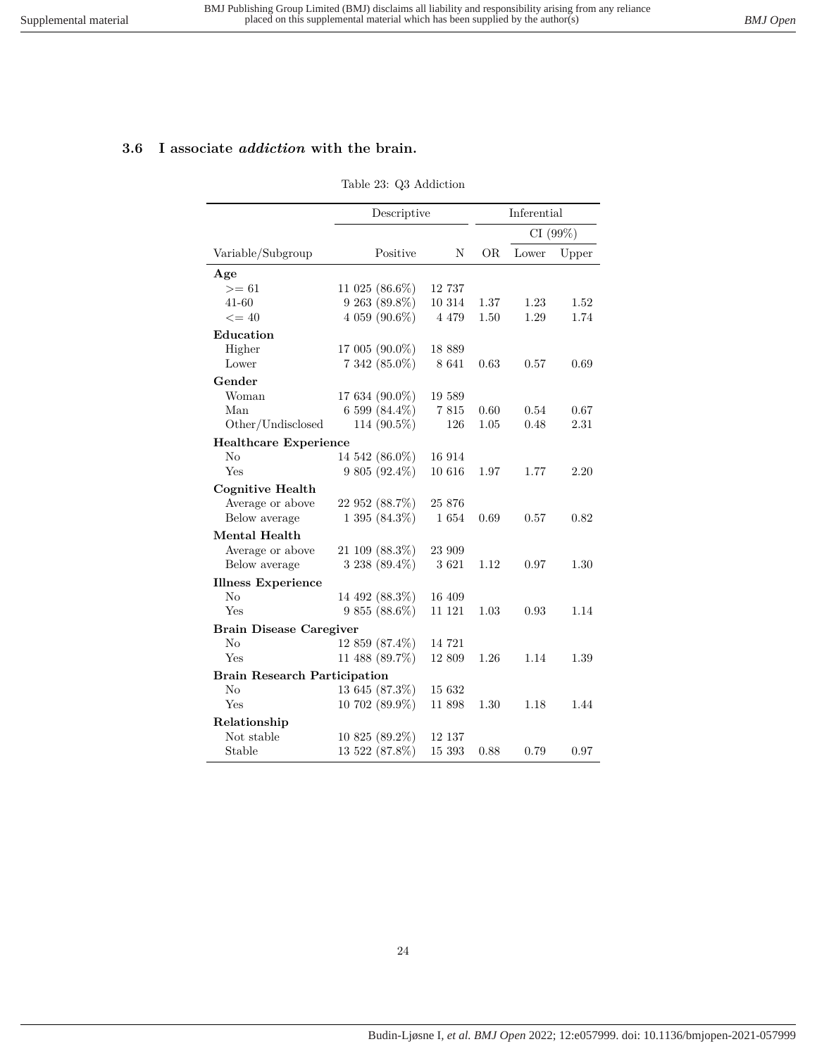### <span id="page-23-0"></span>**3.6 I associate** *addiction* **with the brain.**

#### Table 23: Q3 Addiction

|                                     | Descriptive       |         |      | Inferential |          |
|-------------------------------------|-------------------|---------|------|-------------|----------|
|                                     |                   |         |      |             | CI (99%) |
| Variable/Subgroup                   | Positive          | N       | ÓR   | Lower       | Upper    |
| Age                                 |                   |         |      |             |          |
| $>= 61$                             | 11 025 $(86.6\%)$ | 12 737  |      |             |          |
| 41-60                               | $9263(89.8\%)$    | 10 314  | 1.37 | 1.23        | 1.52     |
| $\leq$ = 40                         | 4 059 (90.6%)     | 4 4 7 9 | 1.50 | 1.29        | 1.74     |
| Education                           |                   |         |      |             |          |
| Higher                              | 17 005 (90.0%)    | 18 889  |      |             |          |
| Lower                               | 7 342 (85.0%)     | 8 641   | 0.63 | 0.57        | 0.69     |
| Gender                              |                   |         |      |             |          |
| Woman                               | 17 634 (90.0%)    | 19 589  |      |             |          |
| Man                                 | 6 599 (84.4%)     | 7815    | 0.60 | 0.54        | 0.67     |
| Other/Undisclosed                   | 114 (90.5%)       | 126     | 1.05 | 0.48        | 2.31     |
| <b>Healthcare Experience</b>        |                   |         |      |             |          |
| $\rm No$                            | 14 542 (86.0%)    | 16 914  |      |             |          |
| Yes                                 | $9805(92.4\%)$    | 10 616  | 1.97 | 1.77        | 2.20     |
| <b>Cognitive Health</b>             |                   |         |      |             |          |
| Average or above                    | 22 952 (88.7%)    | 25 876  |      |             |          |
| Below average                       | 1 395 (84.3%)     | 1654    | 0.69 | 0.57        | 0.82     |
| Mental Health                       |                   |         |      |             |          |
| Average or above                    | 21 109 (88.3%)    | 23 909  |      |             |          |
| Below average                       | $3238(89.4\%)$    | 3621    | 1.12 | 0.97        | 1.30     |
| <b>Illness Experience</b>           |                   |         |      |             |          |
| N <sub>o</sub>                      | 14 492 (88.3%)    | 16 409  |      |             |          |
| Yes                                 | $9855(88.6\%)$    | 11 121  | 1.03 | 0.93        | 1.14     |
| <b>Brain Disease Caregiver</b>      |                   |         |      |             |          |
| $\rm No$                            | $12859(87.4\%)$   | 14 721  |      |             |          |
| Yes                                 | 11 488 (89.7%)    | 12 809  | 1.26 | 1.14        | 1.39     |
| <b>Brain Research Participation</b> |                   |         |      |             |          |
| No                                  | 13 645 (87.3%)    | 15 632  |      |             |          |
| Yes                                 | 10 702 (89.9%)    | 11 898  | 1.30 | 1.18        | 1.44     |
| Relationship                        |                   |         |      |             |          |
| Not stable                          | 10 825 (89.2%)    | 12 137  |      |             |          |
| Stable                              | 13 522 (87.8%)    | 15 393  | 0.88 | 0.79        | 0.97     |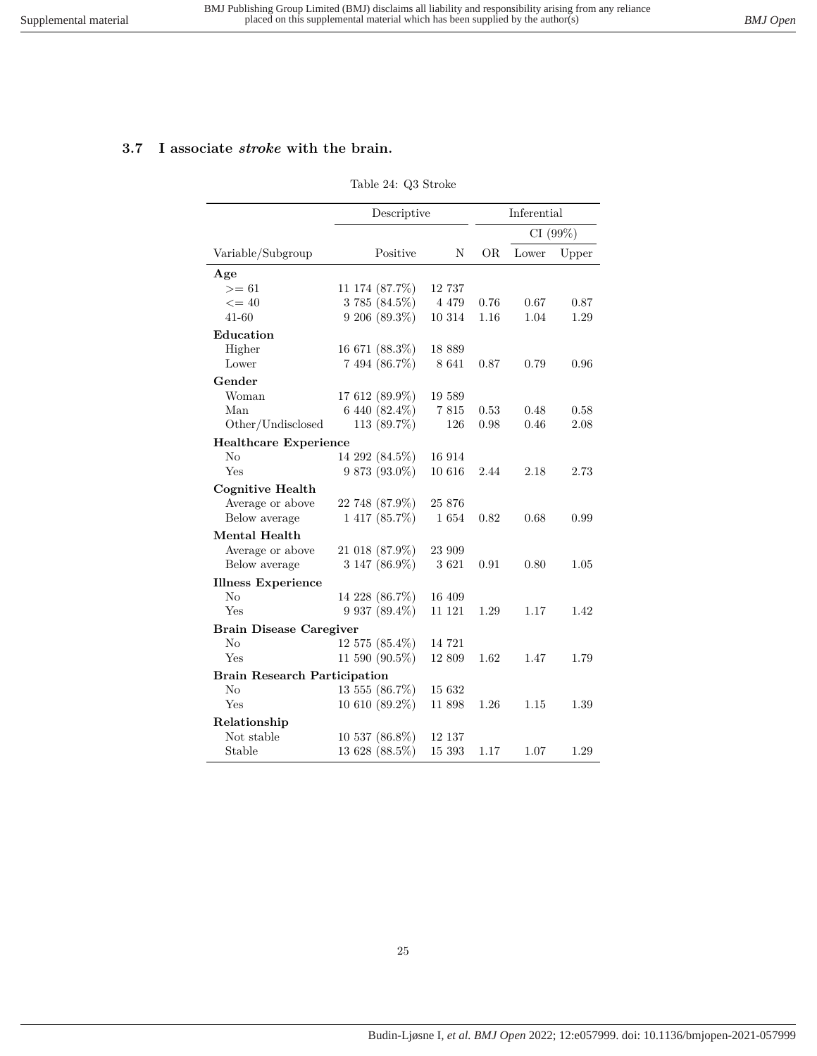### <span id="page-24-0"></span>**3.7 I associate** *stroke* **with the brain.**

#### Table 24: Q3 Stroke

|                                     | Descriptive        |         |          | Inferential |       |
|-------------------------------------|--------------------|---------|----------|-------------|-------|
|                                     |                    |         | CI (99%) |             |       |
| Variable/Subgroup                   | Positive           | Ν       | OR.      | Lower       | Upper |
| Age                                 |                    |         |          |             |       |
| $>= 61$                             | 11 174 (87.7%)     | 12 737  |          |             |       |
| $\leq$ = 40                         | 3 785 (84.5%)      | 4 4 7 9 | 0.76     | 0.67        | 0.87  |
| $41 - 60$                           | 9 206 (89.3%)      | 10 314  | 1.16     | 1.04        | 1.29  |
| Education                           |                    |         |          |             |       |
| Higher                              | 16 671 (88.3%)     | 18 889  |          |             |       |
| Lower                               | 7 494 (86.7%)      | 8 641   | 0.87     | 0.79        | 0.96  |
| Gender                              |                    |         |          |             |       |
| Woman                               | 17 612 (89.9%)     | 19 589  |          |             |       |
| Man                                 | 6 440 (82.4%)      | 7815    | 0.53     | 0.48        | 0.58  |
| Other/Undisclosed                   | 113 (89.7%)        | 126     | 0.98     | 0.46        | 2.08  |
| <b>Healthcare Experience</b>        |                    |         |          |             |       |
| No                                  | 14 292 (84.5%)     | 16 914  |          |             |       |
| Yes                                 | $9873(93.0\%)$     | 10 616  | 2.44     | 2.18        | 2.73  |
| <b>Cognitive Health</b>             |                    |         |          |             |       |
| Average or above                    | 22 748 (87.9%)     | 25 876  |          |             |       |
| Below average                       | $1417(85.7\%)$     | 1654    | 0.82     | 0.68        | 0.99  |
| <b>Mental Health</b>                |                    |         |          |             |       |
| Average or above                    | 21 018 (87.9%)     | 23 909  |          |             |       |
| Below average                       | 3 147 (86.9%)      | 3621    | 0.91     | 0.80        | 1.05  |
| <b>Illness Experience</b>           |                    |         |          |             |       |
| No                                  | 14 228 (86.7%)     | 16 409  |          |             |       |
| Yes                                 | $9\,937\ (89.4\%)$ | 11 121  | 1.29     | 1.17        | 1.42  |
| <b>Brain Disease Caregiver</b>      |                    |         |          |             |       |
| No                                  | 12 575 (85.4%)     | 14 721  |          |             |       |
| Yes                                 | 11 590 (90.5%)     | 12 809  | 1.62     | 1.47        | 1.79  |
| <b>Brain Research Participation</b> |                    |         |          |             |       |
| No                                  | 13 555 (86.7%)     | 15 632  |          |             |       |
| Yes                                 | $10610(89.2\%)$    | 11 898  | 1.26     | 1.15        | 1.39  |
| Relationship                        |                    |         |          |             |       |
| Not stable                          | 10 537 (86.8%)     | 12 137  |          |             |       |
| Stable                              | 13 628 (88.5%)     | 15 393  | 1.17     | 1.07        | 1.29  |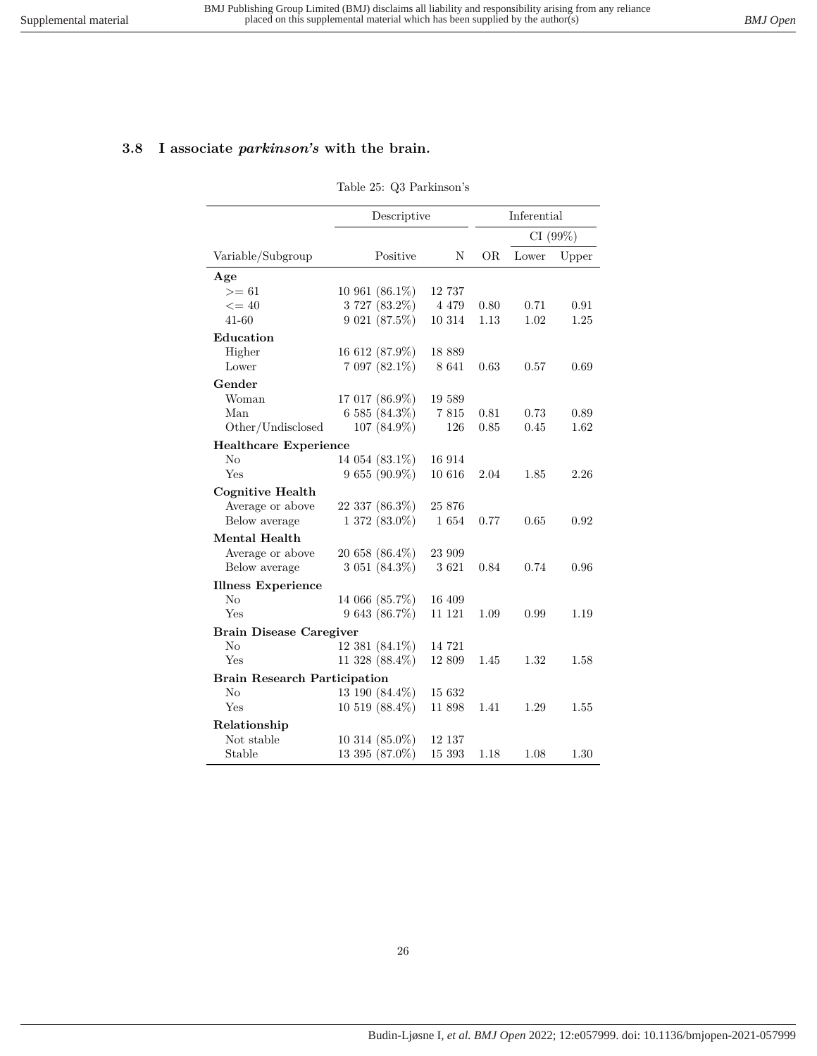# <span id="page-25-0"></span>**3.8 I associate** *parkinson's* **with the brain.**

#### Table 25: Q3 Parkinson's

|                                     | Descriptive          |         |      | Inferential |         |  |  |
|-------------------------------------|----------------------|---------|------|-------------|---------|--|--|
|                                     |                      |         |      |             | CI(99%) |  |  |
| Variable/Subgroup                   | Positive             | N       | ÓR   | Lower       | Upper   |  |  |
| Age                                 |                      |         |      |             |         |  |  |
| $>= 61$                             | 10 961 $(86.1\%)$    | 12 737  |      |             |         |  |  |
| $\leq$ = 40                         | 3 727 (83.2%)        | 4 4 7 9 | 0.80 | 0.71        | 0.91    |  |  |
| $41 - 60$                           | 9 021 (87.5%)        | 10 314  | 1.13 | 1.02        | 1.25    |  |  |
| Education                           |                      |         |      |             |         |  |  |
| Higher                              | 16 612 (87.9%)       | 18 889  |      |             |         |  |  |
| Lower                               | 7 097 (82.1%)        | 8 641   | 0.63 | 0.57        | 0.69    |  |  |
| Gender                              |                      |         |      |             |         |  |  |
| Woman                               | 17 017 (86.9%)       | 19 589  |      |             |         |  |  |
| Man                                 | 6 585 (84.3%)        | 7815    | 0.81 | 0.73        | 0.89    |  |  |
| Other/Undisclosed                   | 107 (84.9%)          | 126     | 0.85 | 0.45        | 1.62    |  |  |
| <b>Healthcare Experience</b>        |                      |         |      |             |         |  |  |
| $\rm No$                            | 14 054 (83.1%)       | 16 914  |      |             |         |  |  |
| Yes                                 | 9 655 (90.9%)        | 10 616  | 2.04 | 1.85        | 2.26    |  |  |
| <b>Cognitive Health</b>             |                      |         |      |             |         |  |  |
| Average or above                    | 22 337 (86.3%)       | 25 876  |      |             |         |  |  |
| Below average                       | $1372(83.0\%)$       | 1654    | 0.77 | 0.65        | 0.92    |  |  |
| Mental Health                       |                      |         |      |             |         |  |  |
| Average or above                    | 20 658 (86.4%)       | 23 909  |      |             |         |  |  |
| Below average                       | 3 051 (84.3%)        | 3621    | 0.84 | 0.74        | 0.96    |  |  |
| <b>Illness Experience</b>           |                      |         |      |             |         |  |  |
| No                                  | 14 066 (85.7%)       | 16 409  |      |             |         |  |  |
| Yes                                 | 9 643 (86.7%)        | 11 121  | 1.09 | 0.99        | 1.19    |  |  |
| <b>Brain Disease Caregiver</b>      |                      |         |      |             |         |  |  |
| No                                  | 12 381 (84.1%)       | 14 721  |      |             |         |  |  |
| Yes                                 | 11 328 $(88.4\%)$    | 12 809  | 1.45 | 1.32        | 1.58    |  |  |
| <b>Brain Research Participation</b> |                      |         |      |             |         |  |  |
| N <sub>o</sub>                      | 13 190 (84.4%)       | 15 632  |      |             |         |  |  |
| Yes                                 | $10\;519\; (88.4\%)$ | 11 898  | 1.41 | 1.29        | 1.55    |  |  |
| Relationship                        |                      |         |      |             |         |  |  |
| Not stable                          | 10 314 (85.0%)       | 12 137  |      |             |         |  |  |
| Stable                              | 13 395 (87.0%)       | 15 393  | 1.18 | 1.08        | 1.30    |  |  |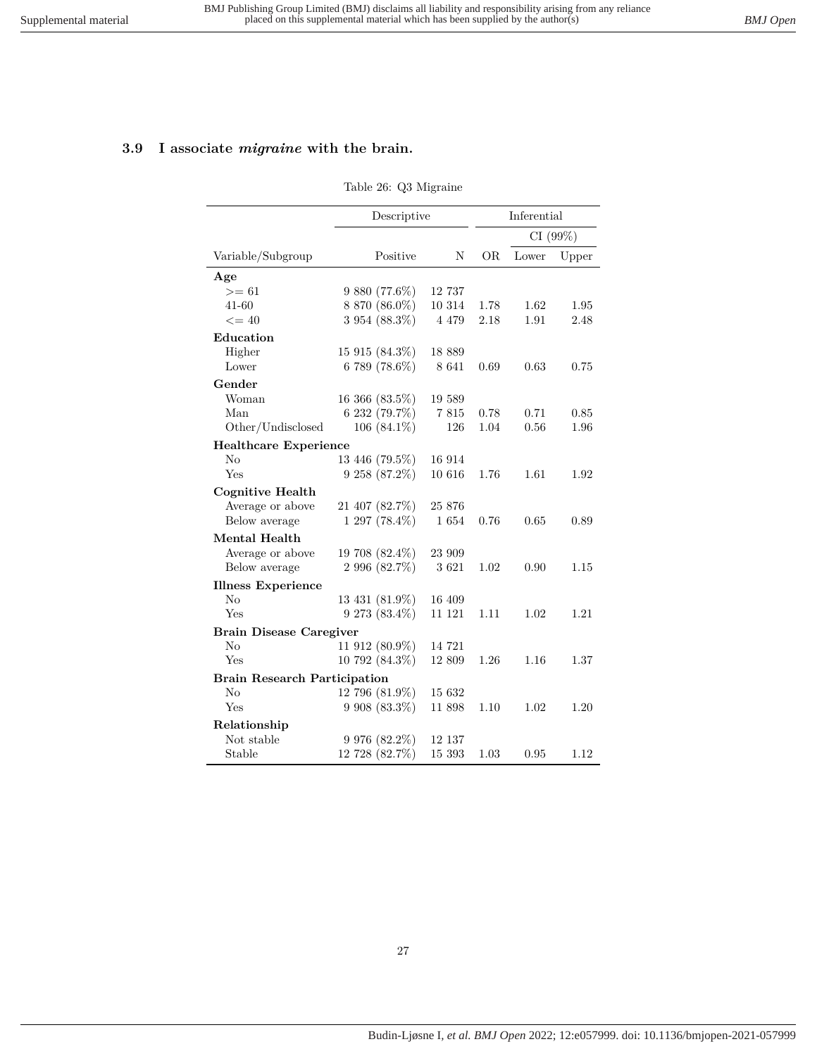### <span id="page-26-0"></span>**3.9 I associate** *migraine* **with the brain.**

#### Table 26: Q3 Migraine

|                                     |                    | Descriptive |      | Inferential |          |
|-------------------------------------|--------------------|-------------|------|-------------|----------|
|                                     |                    |             |      |             | CI (99%) |
| Variable/Subgroup                   | Positive           | N           | OR.  | Lower       | Upper    |
| Age                                 |                    |             |      |             |          |
| $>= 61$                             | 9 880 (77.6%)      | 12 737      |      |             |          |
| $41 - 60$                           | 8 870 (86.0%)      | 10 314      | 1.78 | 1.62        | 1.95     |
| $\leq$ = 40                         | 3 954 (88.3%)      | 4 4 7 9     | 2.18 | 1.91        | 2.48     |
| Education                           |                    |             |      |             |          |
| Higher                              | $15915(84.3\%)$    | 18 889      |      |             |          |
| Lower                               | 6 789 (78.6%)      | 8 641       | 0.69 | 0.63        | 0.75     |
| Gender                              |                    |             |      |             |          |
| Woman                               | 16 366 (83.5%)     | 19 589      |      |             |          |
| Man                                 | 6 232 (79.7%)      | 7815        | 0.78 | 0.71        | 0.85     |
| Other/Undisclosed                   | 106 $(84.1\%)$     | 126         | 1.04 | 0.56        | 1.96     |
| <b>Healthcare Experience</b>        |                    |             |      |             |          |
| $\rm No$                            | 13 446 (79.5%)     | 16 914      |      |             |          |
| Yes                                 | 9 258 (87.2%)      | 10 616      | 1.76 | 1.61        | 1.92     |
| <b>Cognitive Health</b>             |                    |             |      |             |          |
| Average or above                    | 21 407 (82.7%)     | 25 876      |      |             |          |
| Below average                       | 1 297 (78.4%)      | 1654        | 0.76 | 0.65        | 0.89     |
| Mental Health                       |                    |             |      |             |          |
| Average or above                    | 19 708 (82.4%)     | 23 909      |      |             |          |
| Below average                       | 2 996 (82.7%)      | 3621        | 1.02 | 0.90        | 1.15     |
| <b>Illness Experience</b>           |                    |             |      |             |          |
| No                                  | 13 431 (81.9%)     | 16 409      |      |             |          |
| Yes                                 | 9 273 (83.4%)      | 11 121      | 1.11 | 1.02        | 1.21     |
| <b>Brain Disease Caregiver</b>      |                    |             |      |             |          |
| N <sub>o</sub>                      | 11 912 (80.9%)     | 14 721      |      |             |          |
| Yes                                 | 10 792 (84.3%)     | 12 809      | 1.26 | 1.16        | 1.37     |
| <b>Brain Research Participation</b> |                    |             |      |             |          |
| $\rm No$                            | 12 796 (81.9%)     | 15 632      |      |             |          |
| Yes                                 | 9 908 (83.3%)      | 11 898      | 1.10 | 1.02        | 1.20     |
| Relationship                        |                    |             |      |             |          |
| Not stable                          | $9\,976\ (82.2\%)$ | 12 137      |      |             |          |
| Stable                              | 12 728 (82.7%)     | 15 393      | 1.03 | 0.95        | 1.12     |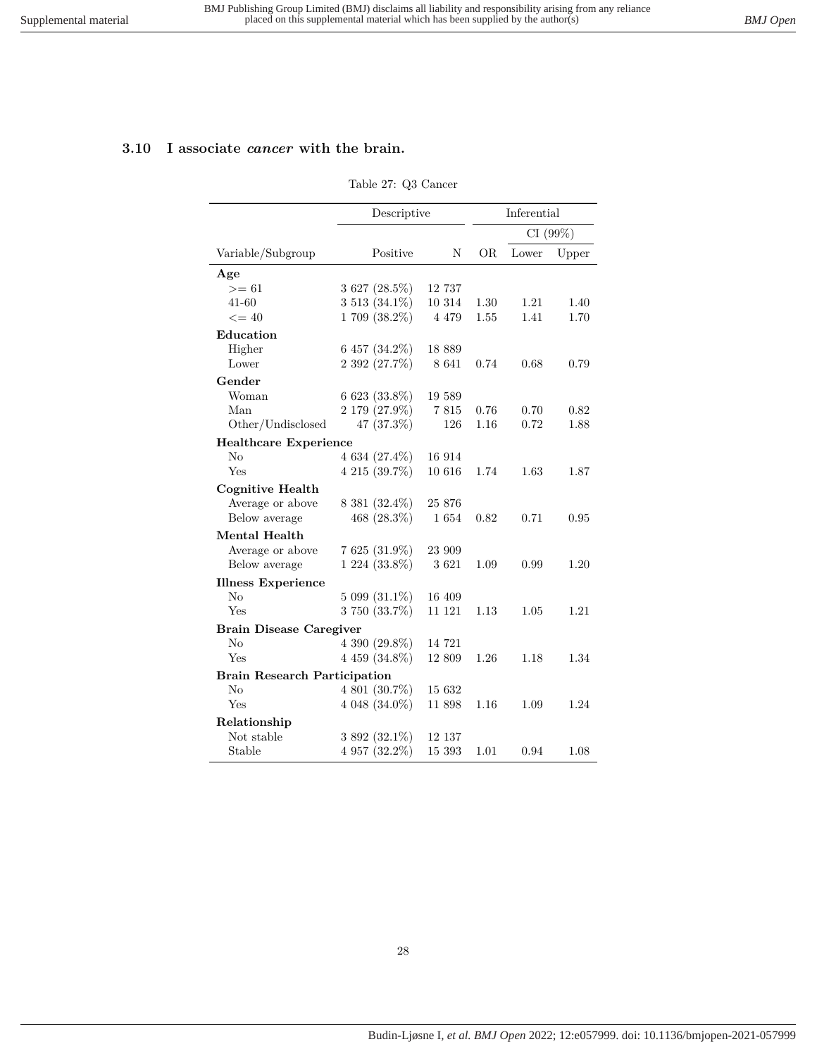### <span id="page-27-0"></span>**3.10 I associate** *cancer* **with the brain.**

#### Table 27: Q3 Cancer

|                                     | Descriptive        |         |      | Inferential |       |
|-------------------------------------|--------------------|---------|------|-------------|-------|
|                                     |                    |         |      | CI (99%)    |       |
| Variable/Subgroup                   | Positive           | N       | OR.  | Lower       | Upper |
| Age                                 |                    |         |      |             |       |
| $>= 61$                             | 3 627 (28.5%)      | 12 737  |      |             |       |
| $41 - 60$                           | 3 513 (34.1%)      | 10 314  | 1.30 | 1.21        | 1.40  |
| $\leq$ = 40                         | $1709(38.2\%)$     | 4 4 7 9 | 1.55 | 1.41        | 1.70  |
| Education                           |                    |         |      |             |       |
| Higher                              | 6 457 (34.2%)      | 18 889  |      |             |       |
| Lower                               | 2 392 (27.7%)      | 8 641   | 0.74 | 0.68        | 0.79  |
| Gender                              |                    |         |      |             |       |
| Woman                               | $6623(33.8\%)$     | 19 589  |      |             |       |
| Man                                 | 2 179 (27.9%)      | 7 815   | 0.76 | 0.70        | 0.82  |
| Other/Undisclosed                   | 47 (37.3%)         | 126     | 1.16 | 0.72        | 1.88  |
| <b>Healthcare Experience</b>        |                    |         |      |             |       |
| $\rm No$                            | $4634(27.4\%)$     | 16 914  |      |             |       |
| Yes                                 | $4215(39.7\%)$     | 10 616  | 1.74 | 1.63        | 1.87  |
| <b>Cognitive Health</b>             |                    |         |      |             |       |
| Average or above                    | 8 381 (32.4%)      | 25 876  |      |             |       |
| Below average                       | 468 $(28.3\%)$     | 1654    | 0.82 | 0.71        | 0.95  |
| Mental Health                       |                    |         |      |             |       |
| Average or above                    | $7625(31.9\%)$     | 23 909  |      |             |       |
| Below average                       | $1224(33.8\%)$     | 3621    | 1.09 | 0.99        | 1.20  |
| <b>Illness Experience</b>           |                    |         |      |             |       |
| No                                  | $5099(31.1\%)$     | 16 409  |      |             |       |
| Yes                                 | 3 750 (33.7%)      | 11 121  | 1.13 | 1.05        | 1.21  |
| <b>Brain Disease Caregiver</b>      |                    |         |      |             |       |
| No                                  | 4 390 (29.8%)      | 14 721  |      |             |       |
| Yes                                 | $4\,459\,(34.8\%)$ | 12 809  | 1.26 | 1.18        | 1.34  |
| <b>Brain Research Participation</b> |                    |         |      |             |       |
| No                                  | 4 801 (30.7%)      | 15 632  |      |             |       |
| Yes                                 | $4048(34.0\%)$     | 11 898  | 1.16 | 1.09        | 1.24  |
| Relationship                        |                    |         |      |             |       |
| Not stable                          | $3892(32.1\%)$     | 12 137  |      |             |       |
| Stable                              | $4957(32.2\%)$     | 15 393  | 1.01 | 0.94        | 1.08  |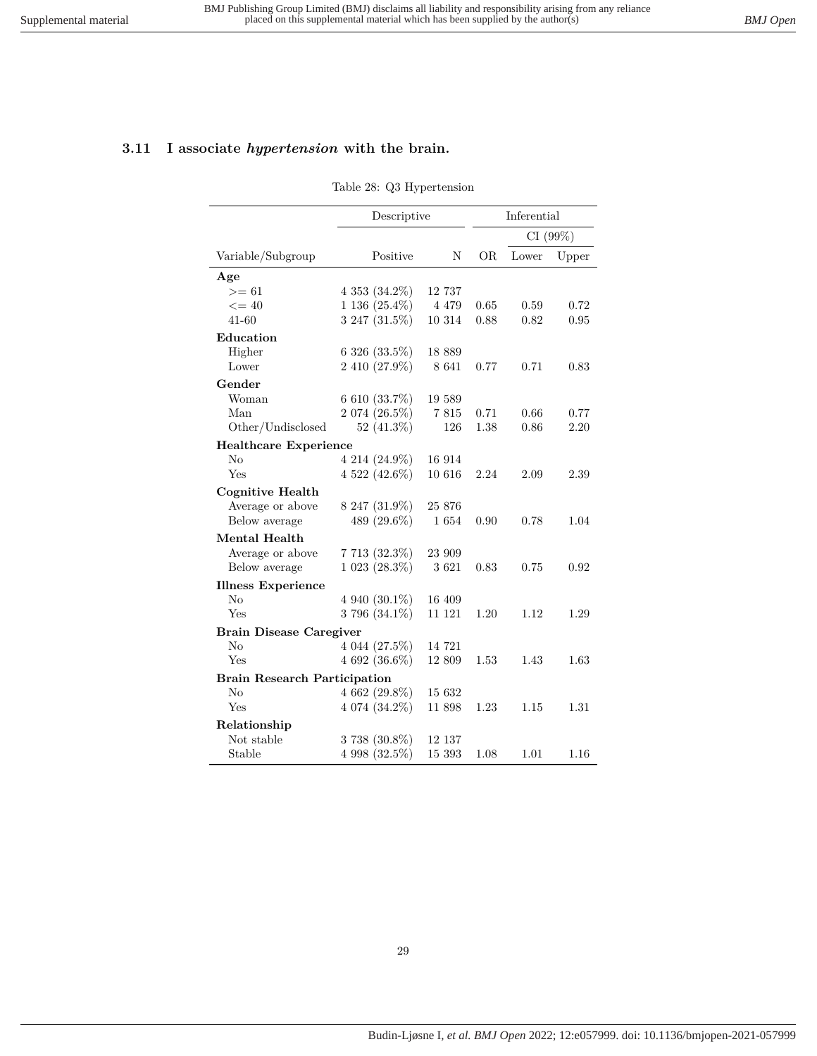# <span id="page-28-0"></span>**3.11 I associate** *hypertension* **with the brain.**

#### Table 28: Q3 Hypertension

|                                     | Descriptive        |         |         | Inferential |       |
|-------------------------------------|--------------------|---------|---------|-------------|-------|
|                                     |                    |         | CI(99%) |             |       |
| Variable/Subgroup                   | Positive           | Ν       | OR.     | Lower       | Upper |
| Age                                 |                    |         |         |             |       |
| $>= 61$                             | $4\,353\,(34.2\%)$ | 12 737  |         |             |       |
| $\leq$ = 40                         | $1\,136\,(25.4\%)$ | 4 4 7 9 | 0.65    | 0.59        | 0.72  |
| $41 - 60$                           | 3 247 (31.5%)      | 10 314  | 0.88    | 0.82        | 0.95  |
| Education                           |                    |         |         |             |       |
| Higher                              | $6326(33.5\%)$     | 18 889  |         |             |       |
| Lower                               | 2 410 (27.9%)      | 8 641   | 0.77    | 0.71        | 0.83  |
| Gender                              |                    |         |         |             |       |
| Woman                               | 6 610 $(33.7\%)$   | 19 589  |         |             |       |
| Man                                 | 2 074 (26.5%)      | 7815    | 0.71    | 0.66        | 0.77  |
| Other/Undisclosed                   | 52 $(41.3\%)$      | 126     | 1.38    | 0.86        | 2.20  |
| <b>Healthcare Experience</b>        |                    |         |         |             |       |
| No                                  | 4 214 (24.9%)      | 16 914  |         |             |       |
| Yes                                 | $4\,522\,(42.6\%)$ | 10 616  | 2.24    | 2.09        | 2.39  |
| <b>Cognitive Health</b>             |                    |         |         |             |       |
| Average or above                    | 8 247 (31.9%)      | 25 876  |         |             |       |
| Below average                       | 489 (29.6%)        | 1654    | 0.90    | 0.78        | 1.04  |
| Mental Health                       |                    |         |         |             |       |
| Average or above                    | 7713(32.3%)        | 23 909  |         |             |       |
| Below average                       | 1 023 (28.3%)      | 3 6 21  | 0.83    | 0.75        | 0.92  |
| <b>Illness Experience</b>           |                    |         |         |             |       |
| No                                  | $4940(30.1\%)$     | 16 409  |         |             |       |
| Yes                                 | 3 796 $(34.1\%)$   | 11 121  | 1.20    | 1.12        | 1.29  |
| <b>Brain Disease Caregiver</b>      |                    |         |         |             |       |
| No                                  | 4 044 (27.5%)      | 14 721  |         |             |       |
| Yes                                 | $4692(36.6\%)$     | 12 809  | 1.53    | 1.43        | 1.63  |
| <b>Brain Research Participation</b> |                    |         |         |             |       |
| $\rm No$                            | 4 662 (29.8%)      | 15 632  |         |             |       |
| Yes                                 | 4 074 (34.2%)      | 11 898  | 1.23    | 1.15        | 1.31  |
| Relationship                        |                    |         |         |             |       |
| Not stable                          | $3738(30.8\%)$     | 12 137  |         |             |       |
| Stable                              | $4998(32.5\%)$     | 15 393  | 1.08    | 1.01        | 1.16  |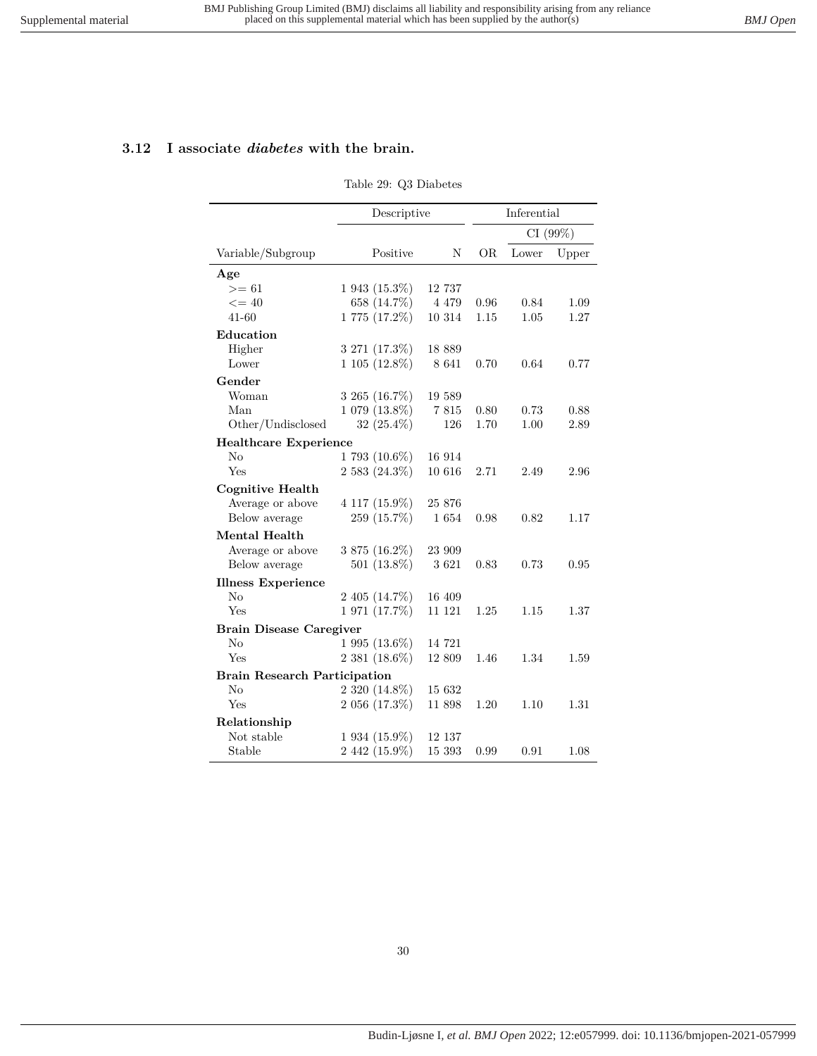### <span id="page-29-0"></span>**3.12 I associate** *diabetes* **with the brain.**

#### Table 29: Q3 Diabetes

|                                     | Descriptive         |         |      | Inferential |       |  |
|-------------------------------------|---------------------|---------|------|-------------|-------|--|
|                                     |                     |         |      | CI (99%)    |       |  |
| Variable/Subgroup                   | Positive            | Ν       | ÓR   | Lower       | Upper |  |
| Age                                 |                     |         |      |             |       |  |
| $>= 61$                             | $1943(15.3\%)$      | 12 737  |      |             |       |  |
| $\leq$ = 40                         | 658 (14.7%)         | 4 4 7 9 | 0.96 | 0.84        | 1.09  |  |
| 41-60                               | $1775(17.2\%)$      | 10 314  | 1.15 | 1.05        | 1.27  |  |
| Education                           |                     |         |      |             |       |  |
| Higher                              | 3 271 (17.3%)       | 18 889  |      |             |       |  |
| Lower                               | 1 105 (12.8%)       | 8 641   | 0.70 | 0.64        | 0.77  |  |
| Gender                              |                     |         |      |             |       |  |
| Woman                               | 3 265 (16.7%)       | 19 589  |      |             |       |  |
| Man                                 | 1 079 (13.8%)       | 7815    | 0.80 | 0.73        | 0.88  |  |
| Other/Undisclosed                   | 32 (25.4%)          | 126     | 1.70 | 1.00        | 2.89  |  |
| <b>Healthcare Experience</b>        |                     |         |      |             |       |  |
| $\rm No$                            | $1793(10.6\%)$      | 16 914  |      |             |       |  |
| Yes                                 | 2 583 (24.3%)       | 10 616  | 2.71 | 2.49        | 2.96  |  |
| <b>Cognitive Health</b>             |                     |         |      |             |       |  |
| Average or above                    | 4 117 (15.9%)       | 25 876  |      |             |       |  |
| Below average                       | 259 (15.7%)         | 1654    | 0.98 | 0.82        | 1.17  |  |
| Mental Health                       |                     |         |      |             |       |  |
| Average or above                    | 3 875 (16.2%)       | 23 909  |      |             |       |  |
| Below average                       | 501 (13.8%)         | 3 6 21  | 0.83 | 0.73        | 0.95  |  |
| <b>Illness Experience</b>           |                     |         |      |             |       |  |
| $\rm No$                            | $2\;405\; (14.7\%)$ | 16 409  |      |             |       |  |
| Yes                                 | 1 971 (17.7%)       | 11 121  | 1.25 | 1.15        | 1.37  |  |
| <b>Brain Disease Caregiver</b>      |                     |         |      |             |       |  |
| No                                  | 1 995 (13.6%)       | 14 721  |      |             |       |  |
| Yes                                 | $2381(18.6\%)$      | 12 809  | 1.46 | 1.34        | 1.59  |  |
| <b>Brain Research Participation</b> |                     |         |      |             |       |  |
| No                                  | 2 320 (14.8%)       | 15 632  |      |             |       |  |
| Yes                                 | $2056(17.3\%)$      | 11 898  | 1.20 | 1.10        | 1.31  |  |
| Relationship                        |                     |         |      |             |       |  |
| Not stable                          | 1 934 (15.9%)       | 12 137  |      |             |       |  |
| Stable                              | 2 442 (15.9%)       | 15 393  | 0.99 | 0.91        | 1.08  |  |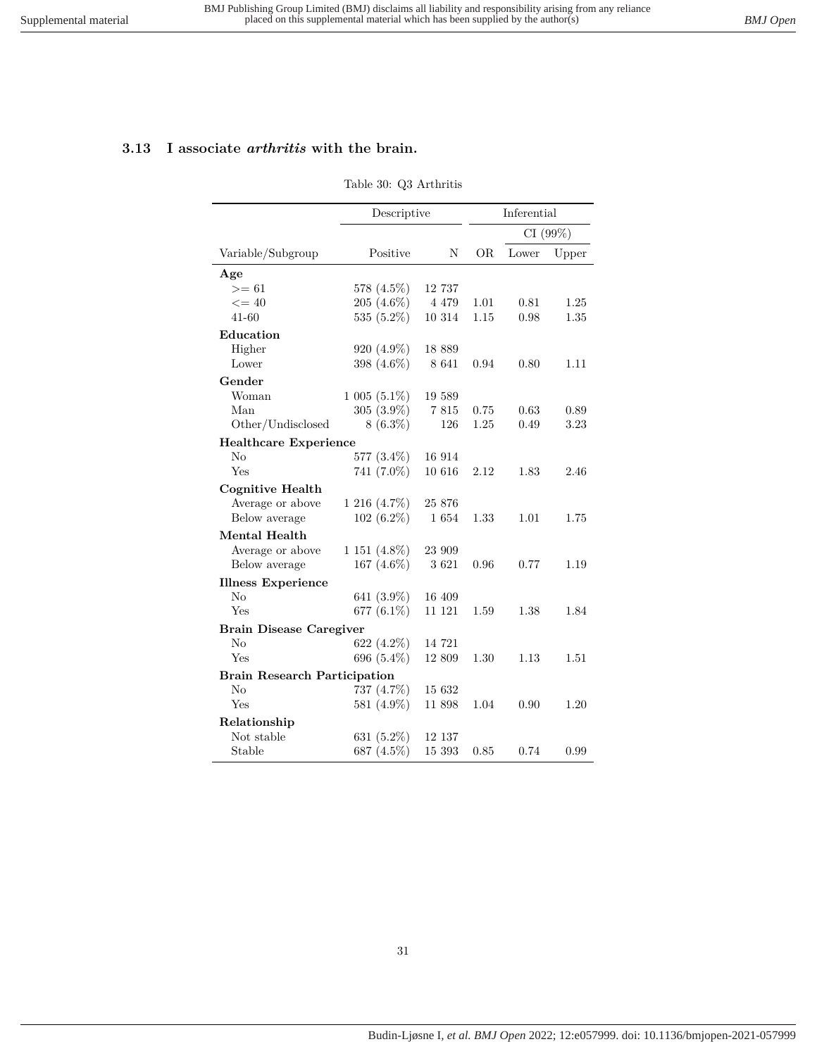### <span id="page-30-0"></span>**3.13 I associate** *arthritis* **with the brain.**

#### Table 30: Q3 Arthritis

|                                     | Descriptive       |         |      | Inferential |       |  |
|-------------------------------------|-------------------|---------|------|-------------|-------|--|
|                                     |                   |         |      | CI (99%)    |       |  |
| Variable/Subgroup                   | Positive          | N       | OR.  | Lower       | Upper |  |
| Age                                 |                   |         |      |             |       |  |
| $>= 61$                             | 578 (4.5%)        | 12 737  |      |             |       |  |
| $\leq$ = 40                         | 205 (4.6%)        | 4 4 7 9 | 1.01 | 0.81        | 1.25  |  |
| 41-60                               | 535 (5.2%)        | 10 314  | 1.15 | 0.98        | 1.35  |  |
| Education                           |                   |         |      |             |       |  |
| Higher                              | $920(4.9\%)$      | 18 889  |      |             |       |  |
| Lower                               | 398 (4.6%)        | 8 641   | 0.94 | 0.80        | 1.11  |  |
| Gender                              |                   |         |      |             |       |  |
| Woman                               | $1005(5.1\%)$     | 19 589  |      |             |       |  |
| Man                                 | $305(3.9\%)$      | 7815    | 0.75 | 0.63        | 0.89  |  |
| Other/Undisclosed                   | $8(6.3\%)$        | 126     | 1.25 | 0.49        | 3.23  |  |
| <b>Healthcare Experience</b>        |                   |         |      |             |       |  |
| $\rm No$                            | 577 (3.4%)        | 16 914  |      |             |       |  |
| Yes                                 | 741 (7.0%)        | 10 616  | 2.12 | 1.83        | 2.46  |  |
| <b>Cognitive Health</b>             |                   |         |      |             |       |  |
| Average or above                    | $1216(4.7\%)$     | 25 876  |      |             |       |  |
| Below average                       | $102(6.2\%)$      | 1 654   | 1.33 | 1.01        | 1.75  |  |
| Mental Health                       |                   |         |      |             |       |  |
| Average or above                    | $1\,151\,(4.8\%)$ | 23 909  |      |             |       |  |
| Below average                       | 167 $(4.6\%)$     | 3621    | 0.96 | 0.77        | 1.19  |  |
| <b>Illness Experience</b>           |                   |         |      |             |       |  |
| No                                  | 641 (3.9%)        | 16 409  |      |             |       |  |
| Yes                                 | 677 (6.1%)        | 11 121  | 1.59 | 1.38        | 1.84  |  |
| <b>Brain Disease Caregiver</b>      |                   |         |      |             |       |  |
| No                                  | 622 (4.2%)        | 14 721  |      |             |       |  |
| Yes                                 | 696 (5.4%)        | 12 809  | 1.30 | 1.13        | 1.51  |  |
| <b>Brain Research Participation</b> |                   |         |      |             |       |  |
| No                                  | 737 (4.7%)        | 15 632  |      |             |       |  |
| Yes                                 | 581 (4.9%)        | 11 898  | 1.04 | 0.90        | 1.20  |  |
| Relationship                        |                   |         |      |             |       |  |
| Not stable                          | 631 $(5.2\%)$     | 12 137  |      |             |       |  |
| Stable                              | 687 (4.5%)        | 15 393  | 0.85 | 0.74        | 0.99  |  |